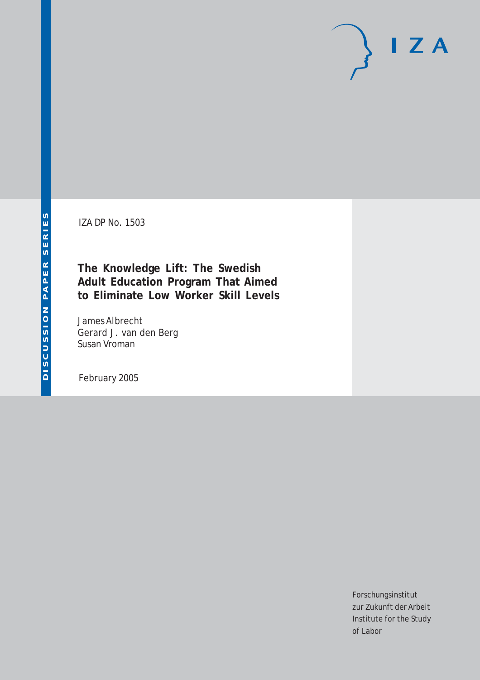IZA DP No. 1503

**The Knowledge Lift: The Swedish Adult Education Program That Aimed to Eliminate Low Worker Skill Levels**

James Albrecht Gerard J. van den Berg Susan Vroman

February 2005

Forschungsinstitut zur Zukunft der Arbeit Institute for the Study of Labor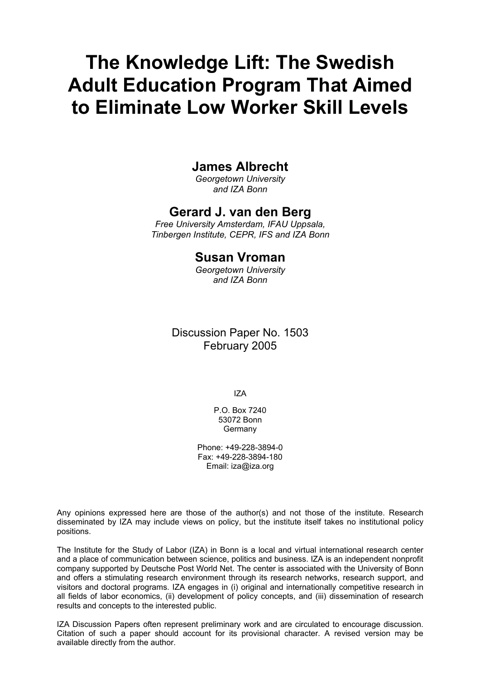# **The Knowledge Lift: The Swedish Adult Education Program That Aimed to Eliminate Low Worker Skill Levels**

## **James Albrecht**

*Georgetown University and IZA Bonn* 

## **Gerard J. van den Berg**

*Free University Amsterdam, IFAU Uppsala, Tinbergen Institute, CEPR, IFS and IZA Bonn* 

## **Susan Vroman**

*Georgetown University and IZA Bonn* 

## Discussion Paper No. 1503 February 2005

IZA

P.O. Box 7240 53072 Bonn Germany

Phone: +49-228-3894-0 Fax: +49-228-3894-180 Email: [iza@iza.org](mailto:iza@iza.org)

Any opinions expressed here are those of the author(s) and not those of the institute. Research disseminated by IZA may include views on policy, but the institute itself takes no institutional policy positions.

The Institute for the Study of Labor (IZA) in Bonn is a local and virtual international research center and a place of communication between science, politics and business. IZA is an independent nonprofit company supported by Deutsche Post World Net. The center is associated with the University of Bonn and offers a stimulating research environment through its research networks, research support, and visitors and doctoral programs. IZA engages in (i) original and internationally competitive research in all fields of labor economics, (ii) development of policy concepts, and (iii) dissemination of research results and concepts to the interested public.

IZA Discussion Papers often represent preliminary work and are circulated to encourage discussion. Citation of such a paper should account for its provisional character. A revised version may be available directly from the author.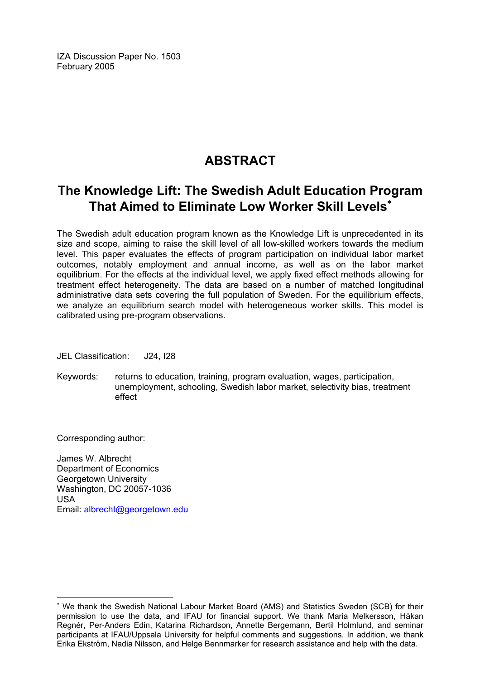IZA Discussion Paper No. 1503 February 2005

# **ABSTRACT**

# **The Knowledge Lift: The Swedish Adult Education Program That Aimed to Eliminate Low Worker Skill Levels**[∗](#page-2-0)

The Swedish adult education program known as the Knowledge Lift is unprecedented in its size and scope, aiming to raise the skill level of all low-skilled workers towards the medium level. This paper evaluates the effects of program participation on individual labor market outcomes, notably employment and annual income, as well as on the labor market equilibrium. For the effects at the individual level, we apply fixed effect methods allowing for treatment effect heterogeneity. The data are based on a number of matched longitudinal administrative data sets covering the full population of Sweden. For the equilibrium effects, we analyze an equilibrium search model with heterogeneous worker skills. This model is calibrated using pre-program observations.

JEL Classification: J24, I28

Keywords: returns to education, training, program evaluation, wages, participation, unemployment, schooling, Swedish labor market, selectivity bias, treatment effect

Corresponding author:

 $\overline{a}$ 

James W. Albrecht Department of Economics Georgetown University Washington, DC 20057-1036 USA Email: [albrecht@georgetown.edu](mailto:albrecht@georgetown.edu)

<span id="page-2-0"></span><sup>∗</sup> We thank the Swedish National Labour Market Board (AMS) and Statistics Sweden (SCB) for their permission to use the data, and IFAU for financial support. We thank Maria Melkersson, Håkan Regnér, Per-Anders Edin, Katarina Richardson, Annette Bergemann, Bertil Holmlund, and seminar participants at IFAU/Uppsala University for helpful comments and suggestions. In addition, we thank Erika Ekström, Nadia Nilsson, and Helge Bennmarker for research assistance and help with the data.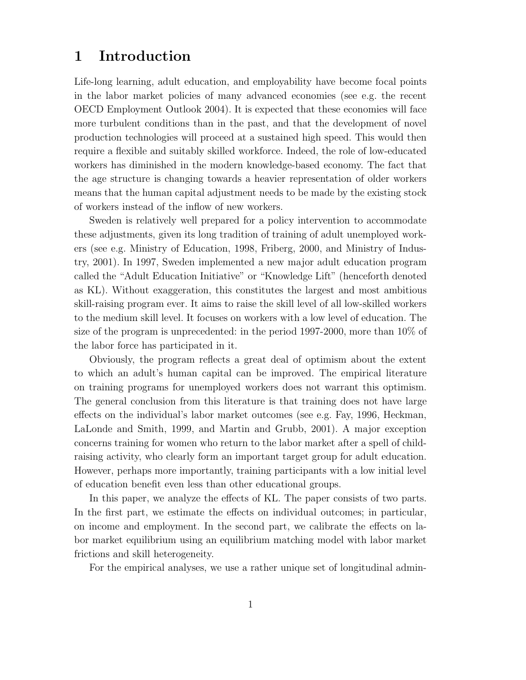## **1 Introduction**

Life-long learning, adult education, and employability have become focal points in the labor market policies of many advanced economies (see e.g. the recent OECD Employment Outlook 2004). It is expected that these economies will face more turbulent conditions than in the past, and that the development of novel production technologies will proceed at a sustained high speed. This would then require a flexible and suitably skilled workforce. Indeed, the role of low-educated workers has diminished in the modern knowledge-based economy. The fact that the age structure is changing towards a heavier representation of older workers means that the human capital adjustment needs to be made by the existing stock of workers instead of the inflow of new workers.

Sweden is relatively well prepared for a policy intervention to accommodate these adjustments, given its long tradition of training of adult unemployed workers (see e.g. Ministry of Education, 1998, Friberg, 2000, and Ministry of Industry, 2001). In 1997, Sweden implemented a new major adult education program called the "Adult Education Initiative" or "Knowledge Lift" (henceforth denoted as KL). Without exaggeration, this constitutes the largest and most ambitious skill-raising program ever. It aims to raise the skill level of all low-skilled workers to the medium skill level. It focuses on workers with a low level of education. The size of the program is unprecedented: in the period 1997-2000, more than 10% of the labor force has participated in it.

Obviously, the program reflects a great deal of optimism about the extent to which an adult's human capital can be improved. The empirical literature on training programs for unemployed workers does not warrant this optimism. The general conclusion from this literature is that training does not have large effects on the individual's labor market outcomes (see e.g. Fay, 1996, Heckman, LaLonde and Smith, 1999, and Martin and Grubb, 2001). A major exception concerns training for women who return to the labor market after a spell of childraising activity, who clearly form an important target group for adult education. However, perhaps more importantly, training participants with a low initial level of education benefit even less than other educational groups.

In this paper, we analyze the effects of KL. The paper consists of two parts. In the first part, we estimate the effects on individual outcomes; in particular, on income and employment. In the second part, we calibrate the effects on labor market equilibrium using an equilibrium matching model with labor market frictions and skill heterogeneity.

For the empirical analyses, we use a rather unique set of longitudinal admin-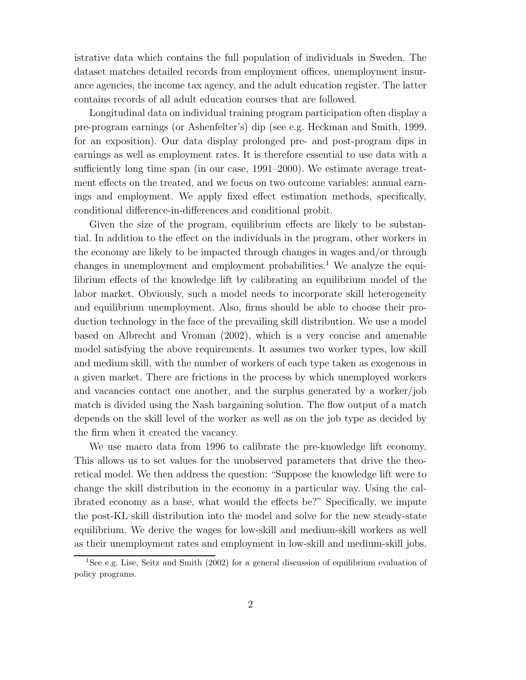istrative data which contains the full population of individuals in Sweden. The dataset matches detailed records from employment offices, unemployment insurance agencies, the income tax agency, and the adult education register. The latter contains records of all adult education courses that are followed.

Longitudinal data on individual training program participation often display a pre-program earnings (or Ashenfelter's) dip (see e.g. Heckman and Smith, 1999, for an exposition). Our data display prolonged pre- and post-program dips in earnings as well as employment rates. It is therefore essential to use data with a sufficiently long time span (in our case, 1991–2000). We estimate average treatment effects on the treated, and we focus on two outcome variables: annual earnings and employment. We apply fixed effect estimation methods, specifically, conditional difference-in-differences and conditional probit.

Given the size of the program, equilibrium effects are likely to be substantial. In addition to the effect on the individuals in the program, other workers in the economy are likely to be impacted through changes in wages and/or through changes in unemployment and employment probabilities.<sup>1</sup> We analyze the equilibrium effects of the knowledge lift by calibrating an equilibrium model of the labor market. Obviously, such a model needs to incorporate skill heterogeneity and equilibrium unemployment. Also, firms should be able to choose their production technology in the face of the prevailing skill distribution. We use a model based on Albrecht and Vroman (2002), which is a very concise and amenable model satisfying the above requirements. It assumes two worker types, low skill and medium skill, with the number of workers of each type taken as exogenous in a given market. There are frictions in the process by which unemployed workers and vacancies contact one another, and the surplus generated by a worker/job match is divided using the Nash bargaining solution. The flow output of a match depends on the skill level of the worker as well as on the job type as decided by the firm when it created the vacancy.

We use macro data from 1996 to calibrate the pre-knowledge lift economy. This allows us to set values for the unobserved parameters that drive the theoretical model. We then address the question: "Suppose the knowledge lift were to change the skill distribution in the economy in a particular way. Using the calibrated economy as a base, what would the effects be?" Specifically, we impute the post-KL skill distribution into the model and solve for the new steady-state equilibrium. We derive the wages for low-skill and medium-skill workers as well as their unemployment rates and employment in low-skill and medium-skill jobs.

<sup>&</sup>lt;sup>1</sup>See e.g. Lise, Seitz and Smith (2002) for a general discussion of equilibrium evaluation of policy programs.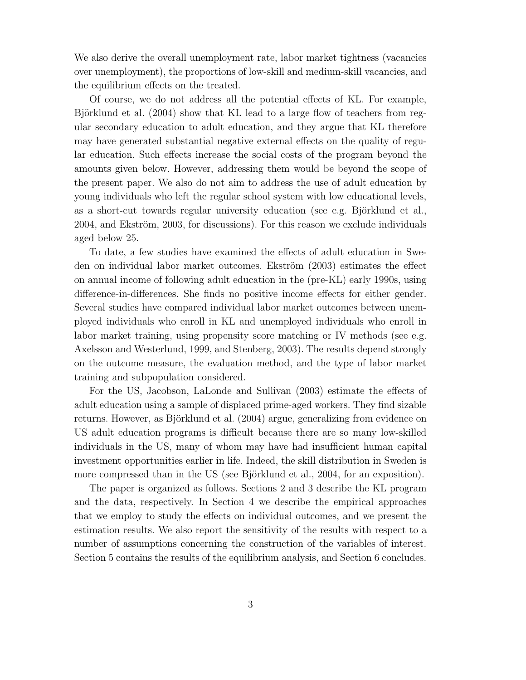We also derive the overall unemployment rate, labor market tightness (vacancies over unemployment), the proportions of low-skill and medium-skill vacancies, and the equilibrium effects on the treated.

Of course, we do not address all the potential effects of KL. For example, Björklund et al. (2004) show that KL lead to a large flow of teachers from regular secondary education to adult education, and they argue that KL therefore may have generated substantial negative external effects on the quality of regular education. Such effects increase the social costs of the program beyond the amounts given below. However, addressing them would be beyond the scope of the present paper. We also do not aim to address the use of adult education by young individuals who left the regular school system with low educational levels, as a short-cut towards regular university education (see e.g. Björklund et al., 2004, and Ekström, 2003, for discussions). For this reason we exclude individuals aged below 25.

To date, a few studies have examined the effects of adult education in Sweden on individual labor market outcomes. Ekström (2003) estimates the effect on annual income of following adult education in the (pre-KL) early 1990s, using difference-in-differences. She finds no positive income effects for either gender. Several studies have compared individual labor market outcomes between unemployed individuals who enroll in KL and unemployed individuals who enroll in labor market training, using propensity score matching or IV methods (see e.g. Axelsson and Westerlund, 1999, and Stenberg, 2003). The results depend strongly on the outcome measure, the evaluation method, and the type of labor market training and subpopulation considered.

For the US, Jacobson, LaLonde and Sullivan (2003) estimate the effects of adult education using a sample of displaced prime-aged workers. They find sizable returns. However, as Björklund et al. (2004) argue, generalizing from evidence on US adult education programs is difficult because there are so many low-skilled individuals in the US, many of whom may have had insufficient human capital investment opportunities earlier in life. Indeed, the skill distribution in Sweden is more compressed than in the US (see Björklund et al., 2004, for an exposition).

The paper is organized as follows. Sections 2 and 3 describe the KL program and the data, respectively. In Section 4 we describe the empirical approaches that we employ to study the effects on individual outcomes, and we present the estimation results. We also report the sensitivity of the results with respect to a number of assumptions concerning the construction of the variables of interest. Section 5 contains the results of the equilibrium analysis, and Section 6 concludes.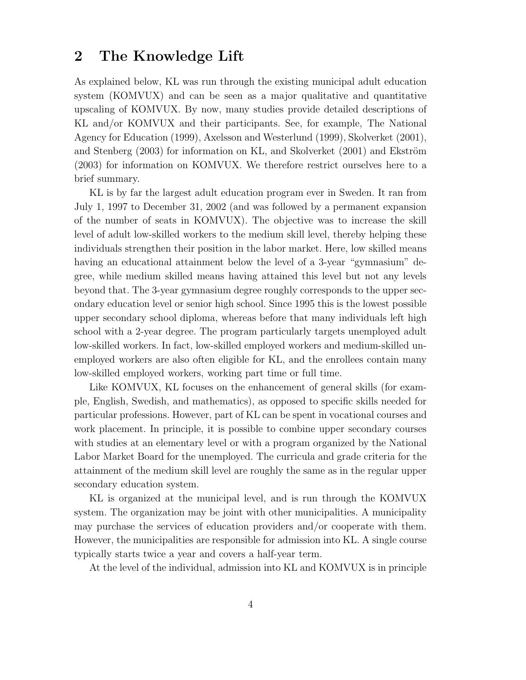## **2 The Knowledge Lift**

As explained below, KL was run through the existing municipal adult education system (KOMVUX) and can be seen as a major qualitative and quantitative upscaling of KOMVUX. By now, many studies provide detailed descriptions of KL and/or KOMVUX and their participants. See, for example, The National Agency for Education (1999), Axelsson and Westerlund (1999), Skolverket (2001), and Stenberg  $(2003)$  for information on KL, and Skolverket  $(2001)$  and Ekström (2003) for information on KOMVUX. We therefore restrict ourselves here to a brief summary.

KL is by far the largest adult education program ever in Sweden. It ran from July 1, 1997 to December 31, 2002 (and was followed by a permanent expansion of the number of seats in KOMVUX). The objective was to increase the skill level of adult low-skilled workers to the medium skill level, thereby helping these individuals strengthen their position in the labor market. Here, low skilled means having an educational attainment below the level of a 3-year "gymnasium" degree, while medium skilled means having attained this level but not any levels beyond that. The 3-year gymnasium degree roughly corresponds to the upper secondary education level or senior high school. Since 1995 this is the lowest possible upper secondary school diploma, whereas before that many individuals left high school with a 2-year degree. The program particularly targets unemployed adult low-skilled workers. In fact, low-skilled employed workers and medium-skilled unemployed workers are also often eligible for KL, and the enrollees contain many low-skilled employed workers, working part time or full time.

Like KOMVUX, KL focuses on the enhancement of general skills (for example, English, Swedish, and mathematics), as opposed to specific skills needed for particular professions. However, part of KL can be spent in vocational courses and work placement. In principle, it is possible to combine upper secondary courses with studies at an elementary level or with a program organized by the National Labor Market Board for the unemployed. The curricula and grade criteria for the attainment of the medium skill level are roughly the same as in the regular upper secondary education system.

KL is organized at the municipal level, and is run through the KOMVUX system. The organization may be joint with other municipalities. A municipality may purchase the services of education providers and/or cooperate with them. However, the municipalities are responsible for admission into KL. A single course typically starts twice a year and covers a half-year term.

At the level of the individual, admission into KL and KOMVUX is in principle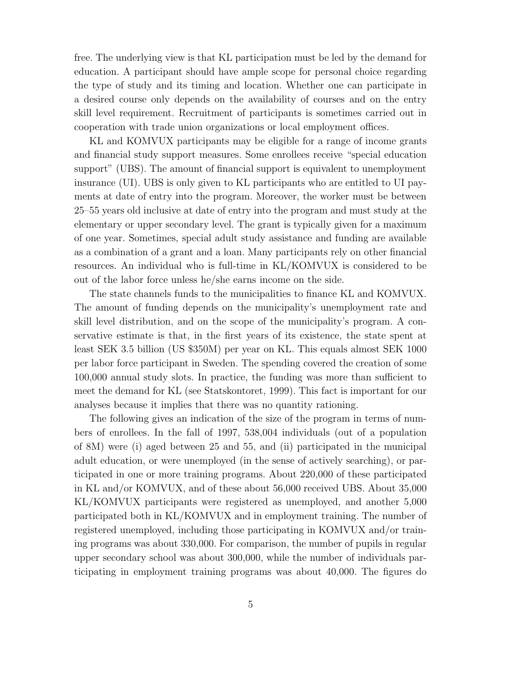free. The underlying view is that KL participation must be led by the demand for education. A participant should have ample scope for personal choice regarding the type of study and its timing and location. Whether one can participate in a desired course only depends on the availability of courses and on the entry skill level requirement. Recruitment of participants is sometimes carried out in cooperation with trade union organizations or local employment offices.

KL and KOMVUX participants may be eligible for a range of income grants and financial study support measures. Some enrollees receive "special education support" (UBS). The amount of financial support is equivalent to unemployment insurance (UI). UBS is only given to KL participants who are entitled to UI payments at date of entry into the program. Moreover, the worker must be between 25–55 years old inclusive at date of entry into the program and must study at the elementary or upper secondary level. The grant is typically given for a maximum of one year. Sometimes, special adult study assistance and funding are available as a combination of a grant and a loan. Many participants rely on other financial resources. An individual who is full-time in KL/KOMVUX is considered to be out of the labor force unless he/she earns income on the side.

The state channels funds to the municipalities to finance KL and KOMVUX. The amount of funding depends on the municipality's unemployment rate and skill level distribution, and on the scope of the municipality's program. A conservative estimate is that, in the first years of its existence, the state spent at least SEK 3.5 billion (US \$350M) per year on KL. This equals almost SEK 1000 per labor force participant in Sweden. The spending covered the creation of some 100,000 annual study slots. In practice, the funding was more than sufficient to meet the demand for KL (see Statskontoret, 1999). This fact is important for our analyses because it implies that there was no quantity rationing.

The following gives an indication of the size of the program in terms of numbers of enrollees. In the fall of 1997, 538,004 individuals (out of a population of 8M) were (i) aged between 25 and 55, and (ii) participated in the municipal adult education, or were unemployed (in the sense of actively searching), or participated in one or more training programs. About 220,000 of these participated in KL and/or KOMVUX, and of these about 56,000 received UBS. About 35,000 KL/KOMVUX participants were registered as unemployed, and another 5,000 participated both in KL/KOMVUX and in employment training. The number of registered unemployed, including those participating in KOMVUX and/or training programs was about 330,000. For comparison, the number of pupils in regular upper secondary school was about 300,000, while the number of individuals participating in employment training programs was about 40,000. The figures do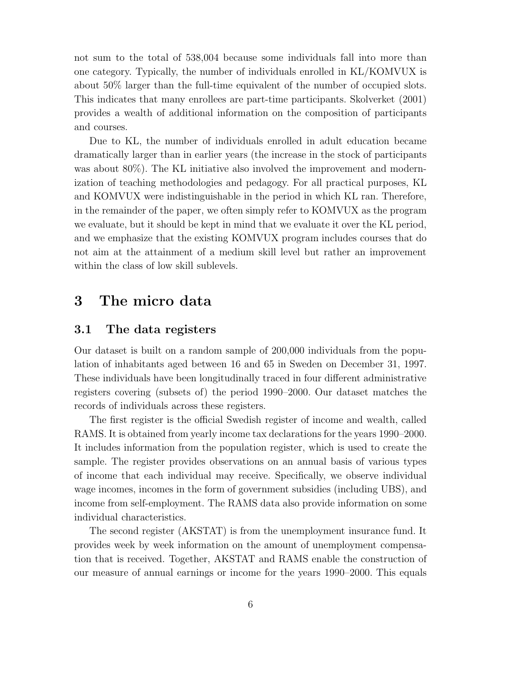not sum to the total of 538,004 because some individuals fall into more than one category. Typically, the number of individuals enrolled in KL/KOMVUX is about 50% larger than the full-time equivalent of the number of occupied slots. This indicates that many enrollees are part-time participants. Skolverket (2001) provides a wealth of additional information on the composition of participants and courses.

Due to KL, the number of individuals enrolled in adult education became dramatically larger than in earlier years (the increase in the stock of participants was about 80%). The KL initiative also involved the improvement and modernization of teaching methodologies and pedagogy. For all practical purposes, KL and KOMVUX were indistinguishable in the period in which KL ran. Therefore, in the remainder of the paper, we often simply refer to KOMVUX as the program we evaluate, but it should be kept in mind that we evaluate it over the KL period, and we emphasize that the existing KOMVUX program includes courses that do not aim at the attainment of a medium skill level but rather an improvement within the class of low skill sublevels.

## **3 The micro data**

### **3.1 The data registers**

Our dataset is built on a random sample of 200,000 individuals from the population of inhabitants aged between 16 and 65 in Sweden on December 31, 1997. These individuals have been longitudinally traced in four different administrative registers covering (subsets of) the period 1990–2000. Our dataset matches the records of individuals across these registers.

The first register is the official Swedish register of income and wealth, called RAMS. It is obtained from yearly income tax declarations for the years 1990–2000. It includes information from the population register, which is used to create the sample. The register provides observations on an annual basis of various types of income that each individual may receive. Specifically, we observe individual wage incomes, incomes in the form of government subsidies (including UBS), and income from self-employment. The RAMS data also provide information on some individual characteristics.

The second register (AKSTAT) is from the unemployment insurance fund. It provides week by week information on the amount of unemployment compensation that is received. Together, AKSTAT and RAMS enable the construction of our measure of annual earnings or income for the years 1990–2000. This equals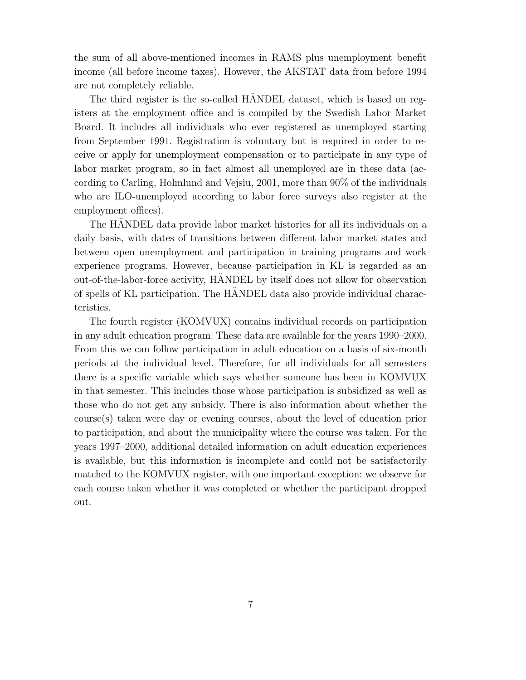the sum of all above-mentioned incomes in RAMS plus unemployment benefit income (all before income taxes). However, the AKSTAT data from before 1994 are not completely reliable.

The third register is the so-called HANDEL dataset, which is based on registers at the employment office and is compiled by the Swedish Labor Market Board. It includes all individuals who ever registered as unemployed starting from September 1991. Registration is voluntary but is required in order to receive or apply for unemployment compensation or to participate in any type of labor market program, so in fact almost all unemployed are in these data (according to Carling, Holmlund and Vejsiu, 2001, more than 90% of the individuals who are ILO-unemployed according to labor force surveys also register at the employment offices).

The HANDEL data provide labor market histories for all its individuals on a daily basis, with dates of transitions between different labor market states and between open unemployment and participation in training programs and work experience programs. However, because participation in KL is regarded as an out-of-the-labor-force activity, HANDEL by itself does not allow for observation of spells of KL participation. The HANDEL data also provide individual charac- ¨ teristics.

The fourth register (KOMVUX) contains individual records on participation in any adult education program. These data are available for the years 1990–2000. From this we can follow participation in adult education on a basis of six-month periods at the individual level. Therefore, for all individuals for all semesters there is a specific variable which says whether someone has been in KOMVUX in that semester. This includes those whose participation is subsidized as well as those who do not get any subsidy. There is also information about whether the course(s) taken were day or evening courses, about the level of education prior to participation, and about the municipality where the course was taken. For the years 1997–2000, additional detailed information on adult education experiences is available, but this information is incomplete and could not be satisfactorily matched to the KOMVUX register, with one important exception: we observe for each course taken whether it was completed or whether the participant dropped out.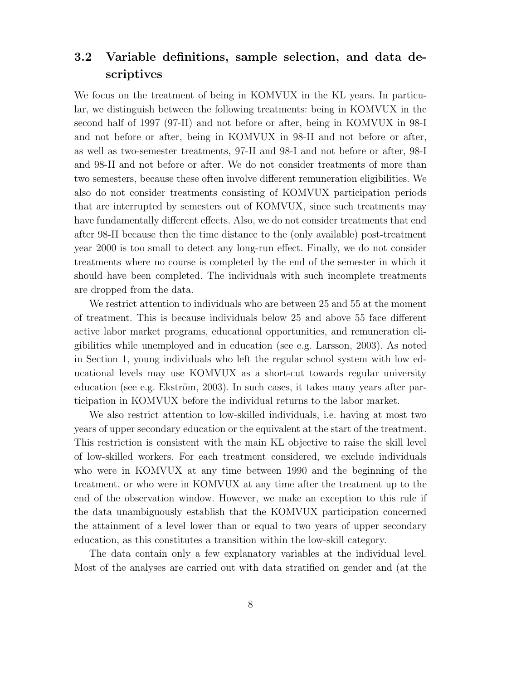## **3.2 Variable definitions, sample selection, and data descriptives**

We focus on the treatment of being in KOMVUX in the KL years. In particular, we distinguish between the following treatments: being in KOMVUX in the second half of 1997 (97-II) and not before or after, being in KOMVUX in 98-I and not before or after, being in KOMVUX in 98-II and not before or after, as well as two-semester treatments, 97-II and 98-I and not before or after, 98-I and 98-II and not before or after. We do not consider treatments of more than two semesters, because these often involve different remuneration eligibilities. We also do not consider treatments consisting of KOMVUX participation periods that are interrupted by semesters out of KOMVUX, since such treatments may have fundamentally different effects. Also, we do not consider treatments that end after 98-II because then the time distance to the (only available) post-treatment year 2000 is too small to detect any long-run effect. Finally, we do not consider treatments where no course is completed by the end of the semester in which it should have been completed. The individuals with such incomplete treatments are dropped from the data.

We restrict attention to individuals who are between 25 and 55 at the moment of treatment. This is because individuals below 25 and above 55 face different active labor market programs, educational opportunities, and remuneration eligibilities while unemployed and in education (see e.g. Larsson, 2003). As noted in Section 1, young individuals who left the regular school system with low educational levels may use KOMVUX as a short-cut towards regular university education (see e.g. Ekström, 2003). In such cases, it takes many years after participation in KOMVUX before the individual returns to the labor market.

We also restrict attention to low-skilled individuals, i.e. having at most two years of upper secondary education or the equivalent at the start of the treatment. This restriction is consistent with the main KL objective to raise the skill level of low-skilled workers. For each treatment considered, we exclude individuals who were in KOMVUX at any time between 1990 and the beginning of the treatment, or who were in KOMVUX at any time after the treatment up to the end of the observation window. However, we make an exception to this rule if the data unambiguously establish that the KOMVUX participation concerned the attainment of a level lower than or equal to two years of upper secondary education, as this constitutes a transition within the low-skill category.

The data contain only a few explanatory variables at the individual level. Most of the analyses are carried out with data stratified on gender and (at the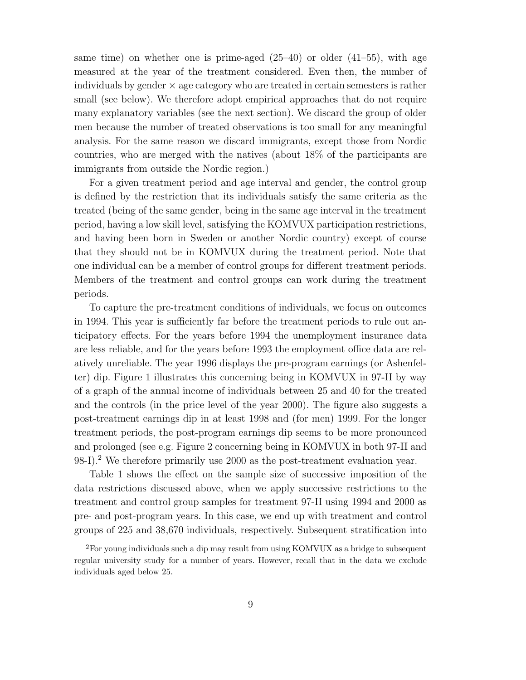same time) on whether one is prime-aged  $(25-40)$  or older  $(41-55)$ , with age measured at the year of the treatment considered. Even then, the number of individuals by gender  $\times$  age category who are treated in certain semesters is rather small (see below). We therefore adopt empirical approaches that do not require many explanatory variables (see the next section). We discard the group of older men because the number of treated observations is too small for any meaningful analysis. For the same reason we discard immigrants, except those from Nordic countries, who are merged with the natives (about 18% of the participants are immigrants from outside the Nordic region.)

For a given treatment period and age interval and gender, the control group is defined by the restriction that its individuals satisfy the same criteria as the treated (being of the same gender, being in the same age interval in the treatment period, having a low skill level, satisfying the KOMVUX participation restrictions, and having been born in Sweden or another Nordic country) except of course that they should not be in KOMVUX during the treatment period. Note that one individual can be a member of control groups for different treatment periods. Members of the treatment and control groups can work during the treatment periods.

To capture the pre-treatment conditions of individuals, we focus on outcomes in 1994. This year is sufficiently far before the treatment periods to rule out anticipatory effects. For the years before 1994 the unemployment insurance data are less reliable, and for the years before 1993 the employment office data are relatively unreliable. The year 1996 displays the pre-program earnings (or Ashenfelter) dip. Figure 1 illustrates this concerning being in KOMVUX in 97-II by way of a graph of the annual income of individuals between 25 and 40 for the treated and the controls (in the price level of the year 2000). The figure also suggests a post-treatment earnings dip in at least 1998 and (for men) 1999. For the longer treatment periods, the post-program earnings dip seems to be more pronounced and prolonged (see e.g. Figure 2 concerning being in KOMVUX in both 97-II and 98-I).<sup>2</sup> We therefore primarily use 2000 as the post-treatment evaluation year.

Table 1 shows the effect on the sample size of successive imposition of the data restrictions discussed above, when we apply successive restrictions to the treatment and control group samples for treatment 97-II using 1994 and 2000 as pre- and post-program years. In this case, we end up with treatment and control groups of 225 and 38,670 individuals, respectively. Subsequent stratification into

<sup>2</sup>For young individuals such a dip may result from using KOMVUX as a bridge to subsequent regular university study for a number of years. However, recall that in the data we exclude individuals aged below 25.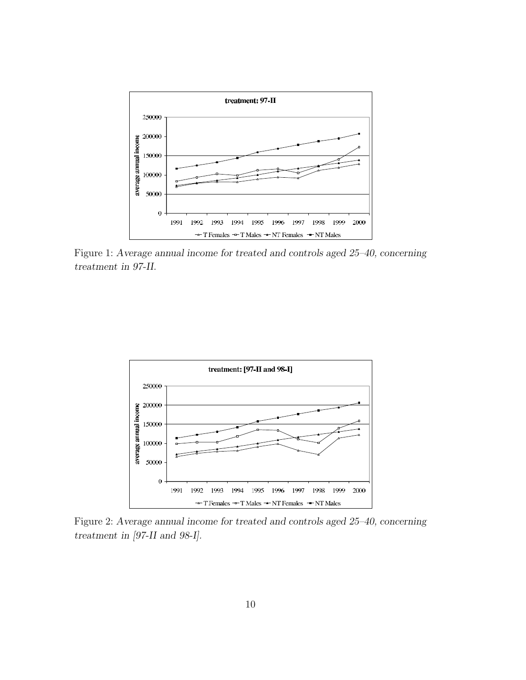

Figure 1: *Average annual income for treated and controls aged 25–40, concerning treatment in 97-II.*



Figure 2: *Average annual income for treated and controls aged 25–40, concerning treatment in [97-II and 98-I].*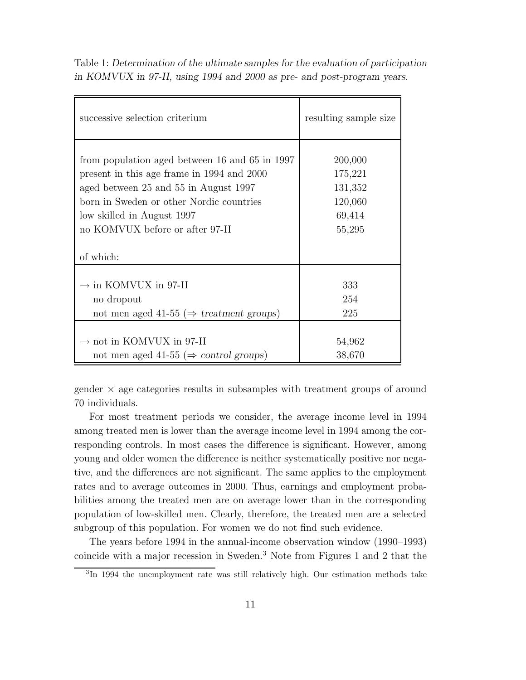Table 1: *Determination of the ultimate samples for the evaluation of participation in KOMVUX in 97-II, using 1994 and 2000 as pre- and post-program years.*

| successive selection criterium                       | resulting sample size |
|------------------------------------------------------|-----------------------|
| from population aged between 16 and 65 in 1997       | 200,000               |
| present in this age frame in 1994 and 2000           | 175,221               |
| aged between 25 and 55 in August 1997                | 131,352               |
| born in Sweden or other Nordic countries             | 120,060               |
| low skilled in August 1997                           | 69,414                |
| no KOMVUX before or after 97-II                      | 55,295                |
| of which:                                            |                       |
| $\rightarrow$ in KOMVUX in 97-II                     | 333                   |
| no dropout                                           | 254                   |
| not men aged 41-55 ( $\Rightarrow$ treatment groups) | 225                   |
| $\rightarrow$ not in KOMVUX in 97-II                 | 54,962                |
| not men aged 41-55 ( $\Rightarrow$ control groups)   | 38,670                |

gender  $\times$  age categories results in subsamples with treatment groups of around 70 individuals.

For most treatment periods we consider, the average income level in 1994 among treated men is lower than the average income level in 1994 among the corresponding controls. In most cases the difference is significant. However, among young and older women the difference is neither systematically positive nor negative, and the differences are not significant. The same applies to the employment rates and to average outcomes in 2000. Thus, earnings and employment probabilities among the treated men are on average lower than in the corresponding population of low-skilled men. Clearly, therefore, the treated men are a selected subgroup of this population. For women we do not find such evidence.

The years before 1994 in the annual-income observation window (1990–1993) coincide with a major recession in Sweden.<sup>3</sup> Note from Figures 1 and 2 that the

<sup>&</sup>lt;sup>3</sup>In 1994 the unemployment rate was still relatively high. Our estimation methods take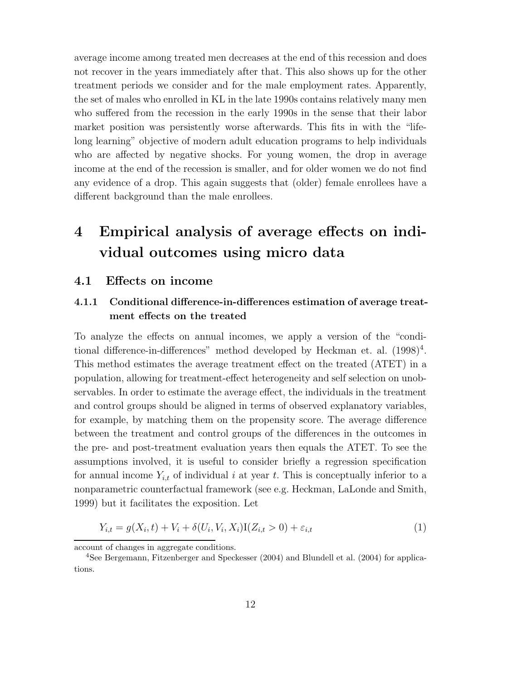average income among treated men decreases at the end of this recession and does not recover in the years immediately after that. This also shows up for the other treatment periods we consider and for the male employment rates. Apparently, the set of males who enrolled in KL in the late 1990s contains relatively many men who suffered from the recession in the early 1990s in the sense that their labor market position was persistently worse afterwards. This fits in with the "lifelong learning" objective of modern adult education programs to help individuals who are affected by negative shocks. For young women, the drop in average income at the end of the recession is smaller, and for older women we do not find any evidence of a drop. This again suggests that (older) female enrollees have a different background than the male enrollees.

# **4 Empirical analysis of average effects on individual outcomes using micro data**

### **4.1 Effects on income**

## **4.1.1 Conditional difference-in-differences estimation of average treatment effects on the treated**

To analyze the effects on annual incomes, we apply a version of the "conditional difference-in-differences" method developed by Heckman et. al.  $(1998)^4$ . This method estimates the average treatment effect on the treated (ATET) in a population, allowing for treatment-effect heterogeneity and self selection on unobservables. In order to estimate the average effect, the individuals in the treatment and control groups should be aligned in terms of observed explanatory variables, for example, by matching them on the propensity score. The average difference between the treatment and control groups of the differences in the outcomes in the pre- and post-treatment evaluation years then equals the ATET. To see the assumptions involved, it is useful to consider briefly a regression specification for annual income  $Y_{i,t}$  of individual i at year t. This is conceptually inferior to a nonparametric counterfactual framework (see e.g. Heckman, LaLonde and Smith, 1999) but it facilitates the exposition. Let

$$
Y_{i,t} = g(X_i, t) + V_i + \delta(U_i, V_i, X_i)I(Z_{i,t} > 0) + \varepsilon_{i,t}
$$
\n(1)

account of changes in aggregate conditions.

<sup>4</sup>See Bergemann, Fitzenberger and Speckesser (2004) and Blundell et al. (2004) for applications.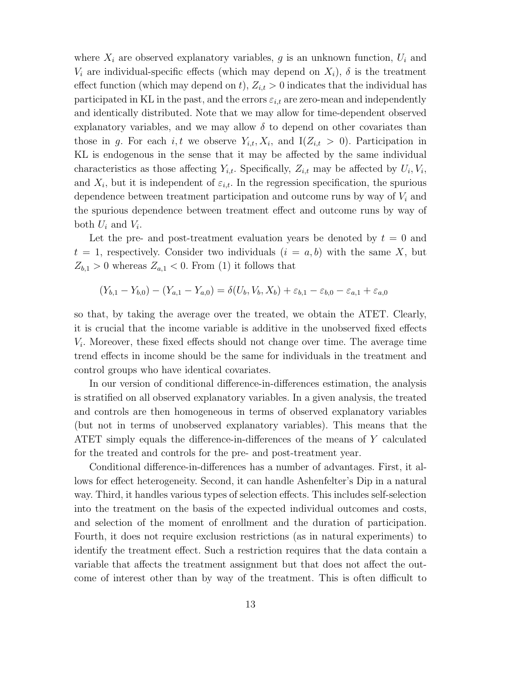where  $X_i$  are observed explanatory variables, g is an unknown function,  $U_i$  and  $V_i$  are individual-specific effects (which may depend on  $X_i$ ),  $\delta$  is the treatment effect function (which may depend on t),  $Z_{i,t} > 0$  indicates that the individual has participated in KL in the past, and the errors  $\varepsilon_{i,t}$  are zero-mean and independently and identically distributed. Note that we may allow for time-dependent observed explanatory variables, and we may allow  $\delta$  to depend on other covariates than those in g. For each i, t we observe  $Y_{i,t}$ ,  $X_i$ , and  $I(Z_{i,t} > 0)$ . Participation in KL is endogenous in the sense that it may be affected by the same individual characteristics as those affecting  $Y_{i,t}$ . Specifically,  $Z_{i,t}$  may be affected by  $U_i, V_i$ , and  $X_i$ , but it is independent of  $\varepsilon_{i,t}$ . In the regression specification, the spurious dependence between treatment participation and outcome runs by way of  $V_i$  and the spurious dependence between treatment effect and outcome runs by way of both  $U_i$  and  $V_i$ .

Let the pre- and post-treatment evaluation years be denoted by  $t = 0$  and  $t = 1$ , respectively. Consider two individuals  $(i = a, b)$  with the same X, but  $Z_{b,1} > 0$  whereas  $Z_{a,1} < 0$ . From (1) it follows that

$$
(Y_{b,1} - Y_{b,0}) - (Y_{a,1} - Y_{a,0}) = \delta(U_b, V_b, X_b) + \varepsilon_{b,1} - \varepsilon_{b,0} - \varepsilon_{a,1} + \varepsilon_{a,0}
$$

so that, by taking the average over the treated, we obtain the ATET. Clearly, it is crucial that the income variable is additive in the unobserved fixed effects  $V_i$ . Moreover, these fixed effects should not change over time. The average time trend effects in income should be the same for individuals in the treatment and control groups who have identical covariates.

In our version of conditional difference-in-differences estimation, the analysis is stratified on all observed explanatory variables. In a given analysis, the treated and controls are then homogeneous in terms of observed explanatory variables (but not in terms of unobserved explanatory variables). This means that the ATET simply equals the difference-in-differences of the means of Y calculated for the treated and controls for the pre- and post-treatment year.

Conditional difference-in-differences has a number of advantages. First, it allows for effect heterogeneity. Second, it can handle Ashenfelter's Dip in a natural way. Third, it handles various types of selection effects. This includes self-selection into the treatment on the basis of the expected individual outcomes and costs, and selection of the moment of enrollment and the duration of participation. Fourth, it does not require exclusion restrictions (as in natural experiments) to identify the treatment effect. Such a restriction requires that the data contain a variable that affects the treatment assignment but that does not affect the outcome of interest other than by way of the treatment. This is often difficult to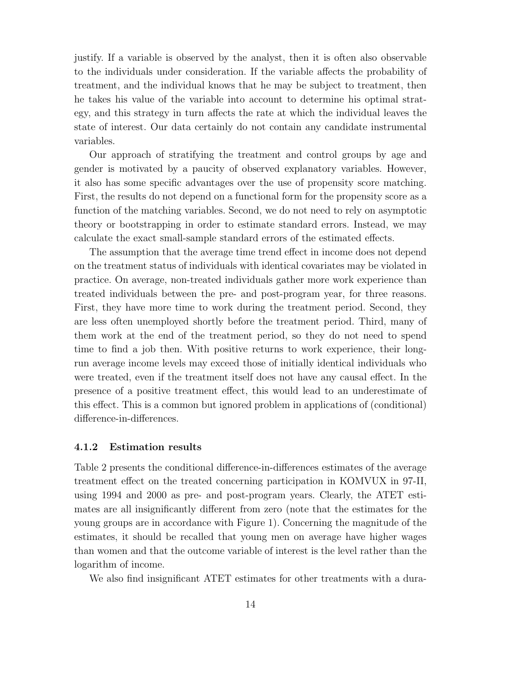justify. If a variable is observed by the analyst, then it is often also observable to the individuals under consideration. If the variable affects the probability of treatment, and the individual knows that he may be subject to treatment, then he takes his value of the variable into account to determine his optimal strategy, and this strategy in turn affects the rate at which the individual leaves the state of interest. Our data certainly do not contain any candidate instrumental variables.

Our approach of stratifying the treatment and control groups by age and gender is motivated by a paucity of observed explanatory variables. However, it also has some specific advantages over the use of propensity score matching. First, the results do not depend on a functional form for the propensity score as a function of the matching variables. Second, we do not need to rely on asymptotic theory or bootstrapping in order to estimate standard errors. Instead, we may calculate the exact small-sample standard errors of the estimated effects.

The assumption that the average time trend effect in income does not depend on the treatment status of individuals with identical covariates may be violated in practice. On average, non-treated individuals gather more work experience than treated individuals between the pre- and post-program year, for three reasons. First, they have more time to work during the treatment period. Second, they are less often unemployed shortly before the treatment period. Third, many of them work at the end of the treatment period, so they do not need to spend time to find a job then. With positive returns to work experience, their longrun average income levels may exceed those of initially identical individuals who were treated, even if the treatment itself does not have any causal effect. In the presence of a positive treatment effect, this would lead to an underestimate of this effect. This is a common but ignored problem in applications of (conditional) difference-in-differences.

#### **4.1.2 Estimation results**

Table 2 presents the conditional difference-in-differences estimates of the average treatment effect on the treated concerning participation in KOMVUX in 97-II, using 1994 and 2000 as pre- and post-program years. Clearly, the ATET estimates are all insignificantly different from zero (note that the estimates for the young groups are in accordance with Figure 1). Concerning the magnitude of the estimates, it should be recalled that young men on average have higher wages than women and that the outcome variable of interest is the level rather than the logarithm of income.

We also find insignificant ATET estimates for other treatments with a dura-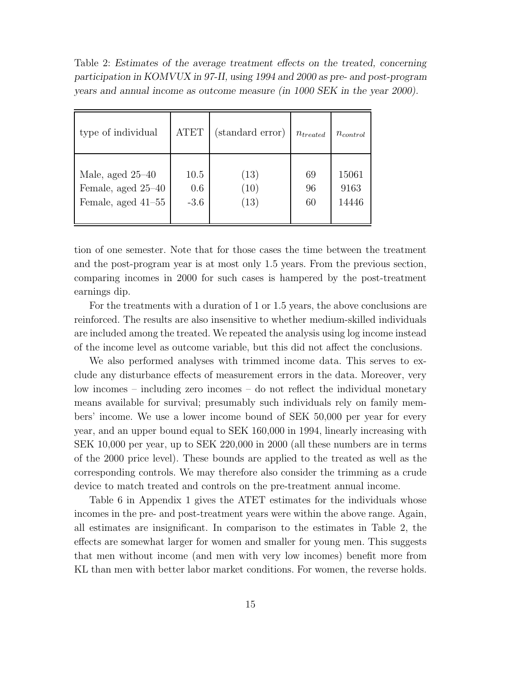Table 2: *Estimates of the average treatment effects on the treated, concerning participation in KOMVUX in 97-II, using 1994 and 2000 as pre- and post-program years and annual income as outcome measure (in 1000 SEK in the year 2000).*

| type of individual   | <b>ATET</b> | (standard error)  | $n_{treated}$ | $n_{control}$ |
|----------------------|-------------|-------------------|---------------|---------------|
| Male, aged $25-40$   | 10.5        | (13)              | 69            | 15061         |
| Female, aged 25-40   | 0.6         | (10)              | 96            | 9163          |
| Female, aged $41-55$ | $-3.6$      | $\left(13\right)$ | 60            | 14446         |

tion of one semester. Note that for those cases the time between the treatment and the post-program year is at most only 1.5 years. From the previous section, comparing incomes in 2000 for such cases is hampered by the post-treatment earnings dip.

For the treatments with a duration of 1 or 1.5 years, the above conclusions are reinforced. The results are also insensitive to whether medium-skilled individuals are included among the treated. We repeated the analysis using log income instead of the income level as outcome variable, but this did not affect the conclusions.

We also performed analyses with trimmed income data. This serves to exclude any disturbance effects of measurement errors in the data. Moreover, very low incomes – including zero incomes – do not reflect the individual monetary means available for survival; presumably such individuals rely on family members' income. We use a lower income bound of SEK 50,000 per year for every year, and an upper bound equal to SEK 160,000 in 1994, linearly increasing with SEK 10,000 per year, up to SEK 220,000 in 2000 (all these numbers are in terms of the 2000 price level). These bounds are applied to the treated as well as the corresponding controls. We may therefore also consider the trimming as a crude device to match treated and controls on the pre-treatment annual income.

Table 6 in Appendix 1 gives the ATET estimates for the individuals whose incomes in the pre- and post-treatment years were within the above range. Again, all estimates are insignificant. In comparison to the estimates in Table 2, the effects are somewhat larger for women and smaller for young men. This suggests that men without income (and men with very low incomes) benefit more from KL than men with better labor market conditions. For women, the reverse holds.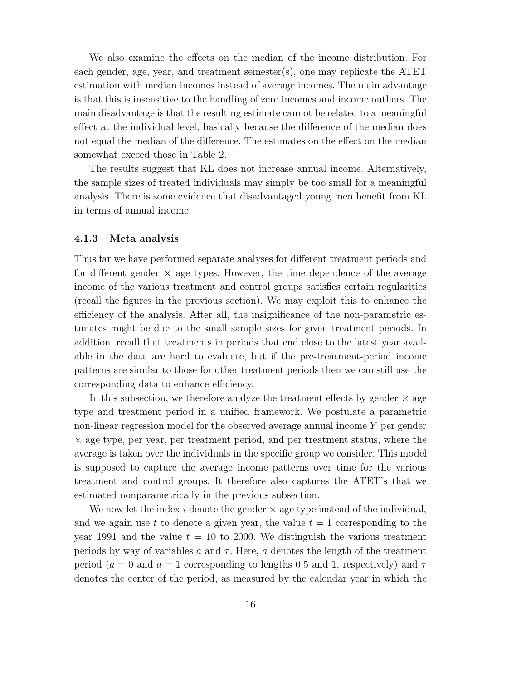We also examine the effects on the median of the income distribution. For each gender, age, year, and treatment semester(s), one may replicate the ATET estimation with median incomes instead of average incomes. The main advantage is that this is insensitive to the handling of zero incomes and income outliers. The main disadvantage is that the resulting estimate cannot be related to a meaningful effect at the individual level, basically because the difference of the median does not equal the median of the difference. The estimates on the effect on the median somewhat exceed those in Table 2.

The results suggest that KL does not increase annual income. Alternatively, the sample sizes of treated individuals may simply be too small for a meaningful analysis. There is some evidence that disadvantaged young men benefit from KL in terms of annual income.

#### **4.1.3 Meta analysis**

Thus far we have performed separate analyses for different treatment periods and for different gender  $\times$  age types. However, the time dependence of the average income of the various treatment and control groups satisfies certain regularities (recall the figures in the previous section). We may exploit this to enhance the efficiency of the analysis. After all, the insignificance of the non-parametric estimates might be due to the small sample sizes for given treatment periods. In addition, recall that treatments in periods that end close to the latest year available in the data are hard to evaluate, but if the pre-treatment-period income patterns are similar to those for other treatment periods then we can still use the corresponding data to enhance efficiency.

In this subsection, we therefore analyze the treatment effects by gender  $\times$  age type and treatment period in a unified framework. We postulate a parametric non-linear regression model for the observed average annual income Y per gender  $\times$  age type, per year, per treatment period, and per treatment status, where the average is taken over the individuals in the specific group we consider. This model is supposed to capture the average income patterns over time for the various treatment and control groups. It therefore also captures the ATET's that we estimated nonparametrically in the previous subsection.

We now let the index i denote the gender  $\times$  age type instead of the individual, and we again use t to denote a given year, the value  $t = 1$  corresponding to the year 1991 and the value  $t = 10$  to 2000. We distinguish the various treatment periods by way of variables a and  $\tau$ . Here, a denotes the length of the treatment period ( $a = 0$  and  $a = 1$  corresponding to lengths 0.5 and 1, respectively) and  $\tau$ denotes the center of the period, as measured by the calendar year in which the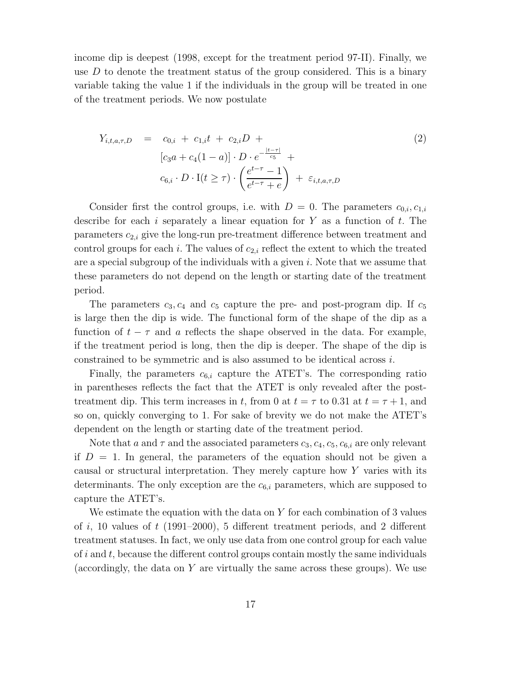income dip is deepest (1998, except for the treatment period 97-II). Finally, we use  $D$  to denote the treatment status of the group considered. This is a binary variable taking the value 1 if the individuals in the group will be treated in one of the treatment periods. We now postulate

$$
Y_{i,t,a,\tau,D} = c_{0,i} + c_{1,i}t + c_{2,i}D +
$$
  
\n
$$
[c_3a + c_4(1-a)] \cdot D \cdot e^{-\frac{|t-\tau|}{c_5}} +
$$
  
\n
$$
c_{6,i} \cdot D \cdot I(t \geq \tau) \cdot \left(\frac{e^{t-\tau}-1}{e^{t-\tau}+e}\right) + \varepsilon_{i,t,a,\tau,D}
$$
 (2)

Consider first the control groups, i.e. with  $D = 0$ . The parameters  $c_{0,i}, c_{1,i}$ describe for each i separately a linear equation for  $Y$  as a function of  $t$ . The parameters  $c_{2,i}$  give the long-run pre-treatment difference between treatment and control groups for each i. The values of  $c_{2,i}$  reflect the extent to which the treated are a special subgroup of the individuals with a given  $i$ . Note that we assume that these parameters do not depend on the length or starting date of the treatment period.

The parameters  $c_3, c_4$  and  $c_5$  capture the pre- and post-program dip. If  $c_5$ is large then the dip is wide. The functional form of the shape of the dip as a function of  $t - \tau$  and a reflects the shape observed in the data. For example, if the treatment period is long, then the dip is deeper. The shape of the dip is constrained to be symmetric and is also assumed to be identical across i.

Finally, the parameters  $c_{6,i}$  capture the ATET's. The corresponding ratio in parentheses reflects the fact that the ATET is only revealed after the posttreatment dip. This term increases in t, from 0 at  $t = \tau$  to 0.31 at  $t = \tau + 1$ , and so on, quickly converging to 1. For sake of brevity we do not make the ATET's dependent on the length or starting date of the treatment period.

Note that a and  $\tau$  and the associated parameters  $c_3$ ,  $c_4$ ,  $c_5$ ,  $c_{6,i}$  are only relevant if  $D = 1$ . In general, the parameters of the equation should not be given a causal or structural interpretation. They merely capture how Y varies with its determinants. The only exception are the  $c_{6,i}$  parameters, which are supposed to capture the ATET's.

We estimate the equation with the data on  $Y$  for each combination of 3 values of i, 10 values of t  $(1991–2000)$ , 5 different treatment periods, and 2 different treatment statuses. In fact, we only use data from one control group for each value of  $i$  and  $t$ , because the different control groups contain mostly the same individuals (accordingly, the data on  $Y$  are virtually the same across these groups). We use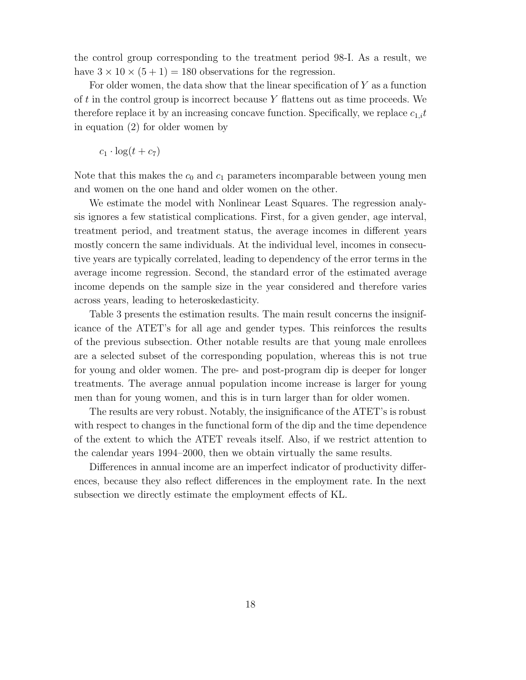the control group corresponding to the treatment period 98-I. As a result, we have  $3 \times 10 \times (5 + 1) = 180$  observations for the regression.

For older women, the data show that the linear specification of Y as a function of t in the control group is incorrect because  $Y$  flattens out as time proceeds. We therefore replace it by an increasing concave function. Specifically, we replace  $c_{1,i}t$ in equation (2) for older women by

 $c_1 \cdot \log(t + c_7)$ 

Note that this makes the  $c_0$  and  $c_1$  parameters incomparable between young men and women on the one hand and older women on the other.

We estimate the model with Nonlinear Least Squares. The regression analysis ignores a few statistical complications. First, for a given gender, age interval, treatment period, and treatment status, the average incomes in different years mostly concern the same individuals. At the individual level, incomes in consecutive years are typically correlated, leading to dependency of the error terms in the average income regression. Second, the standard error of the estimated average income depends on the sample size in the year considered and therefore varies across years, leading to heteroskedasticity.

Table 3 presents the estimation results. The main result concerns the insignificance of the ATET's for all age and gender types. This reinforces the results of the previous subsection. Other notable results are that young male enrollees are a selected subset of the corresponding population, whereas this is not true for young and older women. The pre- and post-program dip is deeper for longer treatments. The average annual population income increase is larger for young men than for young women, and this is in turn larger than for older women.

The results are very robust. Notably, the insignificance of the ATET's is robust with respect to changes in the functional form of the dip and the time dependence of the extent to which the ATET reveals itself. Also, if we restrict attention to the calendar years 1994–2000, then we obtain virtually the same results.

Differences in annual income are an imperfect indicator of productivity differences, because they also reflect differences in the employment rate. In the next subsection we directly estimate the employment effects of KL.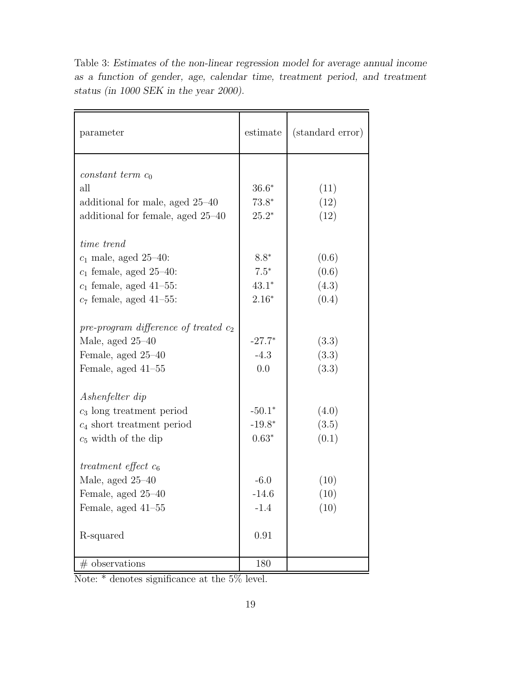| parameter                               | estimate | (standard error) |
|-----------------------------------------|----------|------------------|
|                                         |          |                  |
| constant term $c_0$                     |          |                  |
| all                                     | $36.6*$  | (11)             |
| additional for male, aged 25–40         | $73.8*$  | (12)             |
| additional for female, aged 25-40       | $25.2*$  | (12)             |
| time trend                              |          |                  |
| $c_1$ male, aged 25-40:                 | $8.8*$   | (0.6)            |
| $c_1$ female, aged 25–40:               | $7.5*$   | (0.6)            |
| $c_1$ female, aged 41-55:               | $43.1*$  | (4.3)            |
| $c_7$ female, aged 41-55:               | $2.16*$  | (0.4)            |
|                                         |          |                  |
| pre-program difference of treated $c_2$ |          |                  |
| Male, aged 25-40                        | $-27.7*$ | (3.3)            |
| Female, aged 25-40                      | $-4.3$   | (3.3)            |
| Female, aged 41–55                      | 0.0      | (3.3)            |
| Ashenfelter dip                         |          |                  |
| $c_3$ long treatment period             | $-50.1*$ | (4.0)            |
| $c_4$ short treatment period            | $-19.8*$ | (3.5)            |
| $c_5$ width of the dip                  | $0.63*$  | (0.1)            |
|                                         |          |                  |
| treatment effect $c_6$                  |          |                  |
| Male, aged $25-40$                      | $-6.0$   | (10)             |
| Female, aged 25–40                      | -14.6    | (10)             |
| Female, aged 41-55                      | $-1.4$   | (10)             |
|                                         |          |                  |
| R-squared                               | 0.91     |                  |
|                                         |          |                  |
| $#$ observations                        | 180      |                  |

Table 3: *Estimates of the non-linear regression model for average annual income as a function of gender, age, calendar time, treatment period, and treatment status (in 1000 SEK in the year 2000).*

Note: \* denotes significance at the 5% level.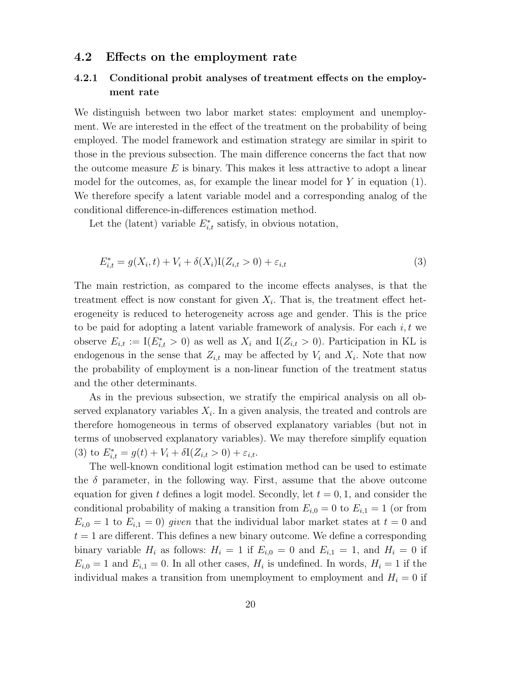#### **4.2 Effects on the employment rate**

## **4.2.1 Conditional probit analyses of treatment effects on the employment rate**

We distinguish between two labor market states: employment and unemployment. We are interested in the effect of the treatment on the probability of being employed. The model framework and estimation strategy are similar in spirit to those in the previous subsection. The main difference concerns the fact that now the outcome measure  $E$  is binary. This makes it less attractive to adopt a linear model for the outcomes, as, for example the linear model for  $Y$  in equation (1). We therefore specify a latent variable model and a corresponding analog of the conditional difference-in-differences estimation method.

Let the (latent) variable  $E_{i,t}^*$  satisfy, in obvious notation,

$$
E_{i,t}^* = g(X_i, t) + V_i + \delta(X_i)I(Z_{i,t} > 0) + \varepsilon_{i,t}
$$
\n(3)

The main restriction, as compared to the income effects analyses, is that the treatment effect is now constant for given  $X_i$ . That is, the treatment effect heterogeneity is reduced to heterogeneity across age and gender. This is the price to be paid for adopting a latent variable framework of analysis. For each  $i, t$  we observe  $E_{i,t} := I(E_{i,t}^* > 0)$  as well as  $X_i$  and  $I(Z_{i,t} > 0)$ . Participation in KL is endogenous in the sense that  $Z_{i,t}$  may be affected by  $V_i$  and  $X_i$ . Note that now the probability of employment is a non-linear function of the treatment status and the other determinants.

As in the previous subsection, we stratify the empirical analysis on all observed explanatory variables  $X_i$ . In a given analysis, the treated and controls are therefore homogeneous in terms of observed explanatory variables (but not in terms of unobserved explanatory variables). We may therefore simplify equation (3) to  $E_{i,t}^* = g(t) + V_i + \delta I(Z_{i,t} > 0) + \varepsilon_{i,t}.$ 

The well-known conditional logit estimation method can be used to estimate the  $\delta$  parameter, in the following way. First, assume that the above outcome equation for given t defines a logit model. Secondly, let  $t = 0, 1$ , and consider the conditional probability of making a transition from  $E_{i,0} = 0$  to  $E_{i,1} = 1$  (or from  $E_{i,0} = 1$  to  $E_{i,1} = 0$ ) given that the individual labor market states at  $t = 0$  and  $t = 1$  are different. This defines a new binary outcome. We define a corresponding binary variable  $H_i$  as follows:  $H_i = 1$  if  $E_{i,0} = 0$  and  $E_{i,1} = 1$ , and  $H_i = 0$  if  $E_{i,0} = 1$  and  $E_{i,1} = 0$ . In all other cases,  $H_i$  is undefined. In words,  $H_i = 1$  if the individual makes a transition from unemployment to employment and  $H<sub>i</sub> = 0$  if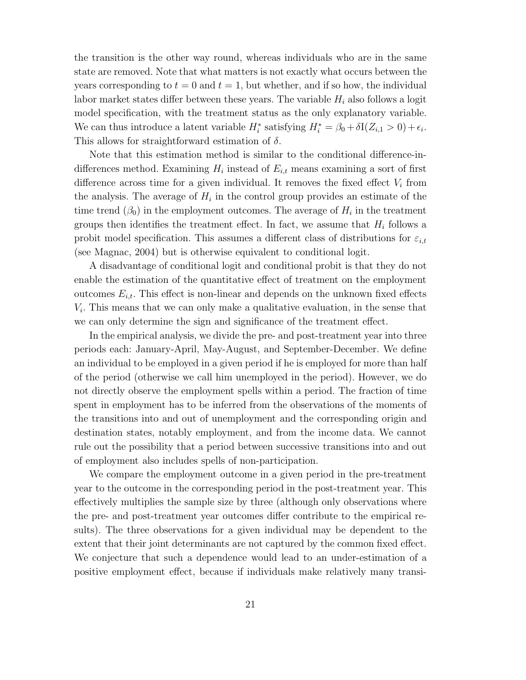the transition is the other way round, whereas individuals who are in the same state are removed. Note that what matters is not exactly what occurs between the years corresponding to  $t = 0$  and  $t = 1$ , but whether, and if so how, the individual labor market states differ between these years. The variable  $H_i$  also follows a logit model specification, with the treatment status as the only explanatory variable. We can thus introduce a latent variable  $H_i^*$  satisfying  $H_i^* = \beta_0 + \delta I(Z_{i,1} > 0) + \epsilon_i$ . This allows for straightforward estimation of  $\delta$ .

Note that this estimation method is similar to the conditional difference-indifferences method. Examining  $H_i$  instead of  $E_{i,t}$  means examining a sort of first difference across time for a given individual. It removes the fixed effect  $V_i$  from the analysis. The average of  $H_i$  in the control group provides an estimate of the time trend  $(\beta_0)$  in the employment outcomes. The average of  $H_i$  in the treatment groups then identifies the treatment effect. In fact, we assume that  $H_i$  follows a probit model specification. This assumes a different class of distributions for  $\varepsilon_{i,t}$ (see Magnac, 2004) but is otherwise equivalent to conditional logit.

A disadvantage of conditional logit and conditional probit is that they do not enable the estimation of the quantitative effect of treatment on the employment outcomes  $E_{i,t}$ . This effect is non-linear and depends on the unknown fixed effects  $V_i$ . This means that we can only make a qualitative evaluation, in the sense that we can only determine the sign and significance of the treatment effect.

In the empirical analysis, we divide the pre- and post-treatment year into three periods each: January-April, May-August, and September-December. We define an individual to be employed in a given period if he is employed for more than half of the period (otherwise we call him unemployed in the period). However, we do not directly observe the employment spells within a period. The fraction of time spent in employment has to be inferred from the observations of the moments of the transitions into and out of unemployment and the corresponding origin and destination states, notably employment, and from the income data. We cannot rule out the possibility that a period between successive transitions into and out of employment also includes spells of non-participation.

We compare the employment outcome in a given period in the pre-treatment year to the outcome in the corresponding period in the post-treatment year. This effectively multiplies the sample size by three (although only observations where the pre- and post-treatment year outcomes differ contribute to the empirical results). The three observations for a given individual may be dependent to the extent that their joint determinants are not captured by the common fixed effect. We conjecture that such a dependence would lead to an under-estimation of a positive employment effect, because if individuals make relatively many transi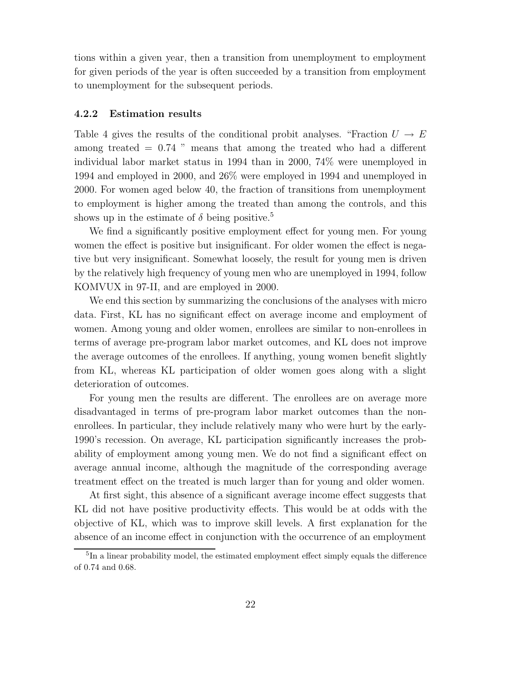tions within a given year, then a transition from unemployment to employment for given periods of the year is often succeeded by a transition from employment to unemployment for the subsequent periods.

#### **4.2.2 Estimation results**

Table 4 gives the results of the conditional probit analyses. "Fraction  $U \to E$ among treated  $= 0.74$  " means that among the treated who had a different individual labor market status in 1994 than in 2000, 74% were unemployed in 1994 and employed in 2000, and 26% were employed in 1994 and unemployed in 2000. For women aged below 40, the fraction of transitions from unemployment to employment is higher among the treated than among the controls, and this shows up in the estimate of  $\delta$  being positive.<sup>5</sup>

We find a significantly positive employment effect for young men. For young women the effect is positive but insignificant. For older women the effect is negative but very insignificant. Somewhat loosely, the result for young men is driven by the relatively high frequency of young men who are unemployed in 1994, follow KOMVUX in 97-II, and are employed in 2000.

We end this section by summarizing the conclusions of the analyses with micro data. First, KL has no significant effect on average income and employment of women. Among young and older women, enrollees are similar to non-enrollees in terms of average pre-program labor market outcomes, and KL does not improve the average outcomes of the enrollees. If anything, young women benefit slightly from KL, whereas KL participation of older women goes along with a slight deterioration of outcomes.

For young men the results are different. The enrollees are on average more disadvantaged in terms of pre-program labor market outcomes than the nonenrollees. In particular, they include relatively many who were hurt by the early-1990's recession. On average, KL participation significantly increases the probability of employment among young men. We do not find a significant effect on average annual income, although the magnitude of the corresponding average treatment effect on the treated is much larger than for young and older women.

At first sight, this absence of a significant average income effect suggests that KL did not have positive productivity effects. This would be at odds with the objective of KL, which was to improve skill levels. A first explanation for the absence of an income effect in conjunction with the occurrence of an employment

<sup>&</sup>lt;sup>5</sup>In a linear probability model, the estimated employment effect simply equals the difference of 0.74 and 0.68.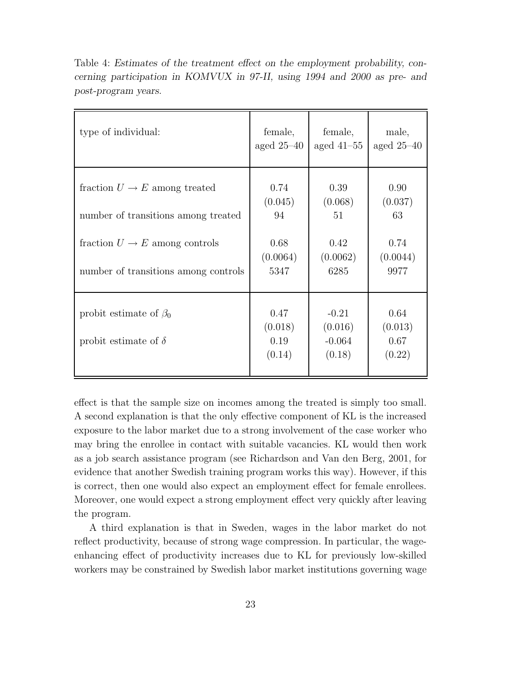| type of individual:                                                                                                                                          | female,<br>aged $25-40$                           | female,<br>aged $41-55$                           | male,<br>aged $25-40$                             |
|--------------------------------------------------------------------------------------------------------------------------------------------------------------|---------------------------------------------------|---------------------------------------------------|---------------------------------------------------|
| fraction $U \to E$ among treated<br>number of transitions among treated<br>fraction $U \rightarrow E$ among controls<br>number of transitions among controls | 0.74<br>(0.045)<br>94<br>0.68<br>(0.0064)<br>5347 | 0.39<br>(0.068)<br>51<br>0.42<br>(0.0062)<br>6285 | 0.90<br>(0.037)<br>63<br>0.74<br>(0.0044)<br>9977 |
| probit estimate of $\beta_0$<br>probit estimate of $\delta$                                                                                                  | 0.47<br>(0.018)<br>0.19<br>(0.14)                 | $-0.21$<br>(0.016)<br>$-0.064$<br>(0.18)          | 0.64<br>(0.013)<br>0.67<br>(0.22)                 |

Table 4: *Estimates of the treatment effect on the employment probability, concerning participation in KOMVUX in 97-II, using 1994 and 2000 as pre- and post-program years.*

effect is that the sample size on incomes among the treated is simply too small. A second explanation is that the only effective component of KL is the increased exposure to the labor market due to a strong involvement of the case worker who may bring the enrollee in contact with suitable vacancies. KL would then work as a job search assistance program (see Richardson and Van den Berg, 2001, for evidence that another Swedish training program works this way). However, if this is correct, then one would also expect an employment effect for female enrollees. Moreover, one would expect a strong employment effect very quickly after leaving the program.

A third explanation is that in Sweden, wages in the labor market do not reflect productivity, because of strong wage compression. In particular, the wageenhancing effect of productivity increases due to KL for previously low-skilled workers may be constrained by Swedish labor market institutions governing wage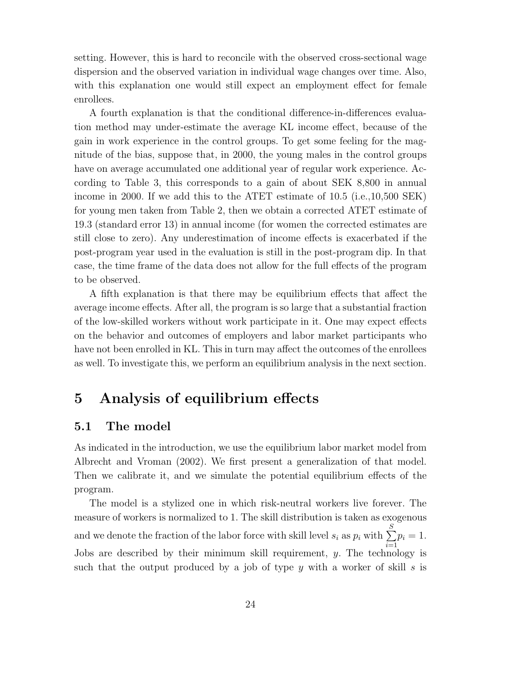setting. However, this is hard to reconcile with the observed cross-sectional wage dispersion and the observed variation in individual wage changes over time. Also, with this explanation one would still expect an employment effect for female enrollees.

A fourth explanation is that the conditional difference-in-differences evaluation method may under-estimate the average KL income effect, because of the gain in work experience in the control groups. To get some feeling for the magnitude of the bias, suppose that, in 2000, the young males in the control groups have on average accumulated one additional year of regular work experience. According to Table 3, this corresponds to a gain of about SEK 8,800 in annual income in 2000. If we add this to the ATET estimate of 10.5 (i.e.,10,500 SEK) for young men taken from Table 2, then we obtain a corrected ATET estimate of 19.3 (standard error 13) in annual income (for women the corrected estimates are still close to zero). Any underestimation of income effects is exacerbated if the post-program year used in the evaluation is still in the post-program dip. In that case, the time frame of the data does not allow for the full effects of the program to be observed.

A fifth explanation is that there may be equilibrium effects that affect the average income effects. After all, the program is so large that a substantial fraction of the low-skilled workers without work participate in it. One may expect effects on the behavior and outcomes of employers and labor market participants who have not been enrolled in KL. This in turn may affect the outcomes of the enrollees as well. To investigate this, we perform an equilibrium analysis in the next section.

# **5 Analysis of equilibrium effects**

## **5.1 The model**

As indicated in the introduction, we use the equilibrium labor market model from Albrecht and Vroman (2002). We first present a generalization of that model. Then we calibrate it, and we simulate the potential equilibrium effects of the program.

The model is a stylized one in which risk-neutral workers live forever. The measure of workers is normalized to 1. The skill distribution is taken as exogenous and we denote the fraction of the labor force with skill level  $s_i$  as  $p_i$  with  $\sum$ S  $\sum_{i=1}$  $p_i = 1$ . Jobs are described by their minimum skill requirement,  $y$ . The technology is such that the output produced by a job of type y with a worker of skill s is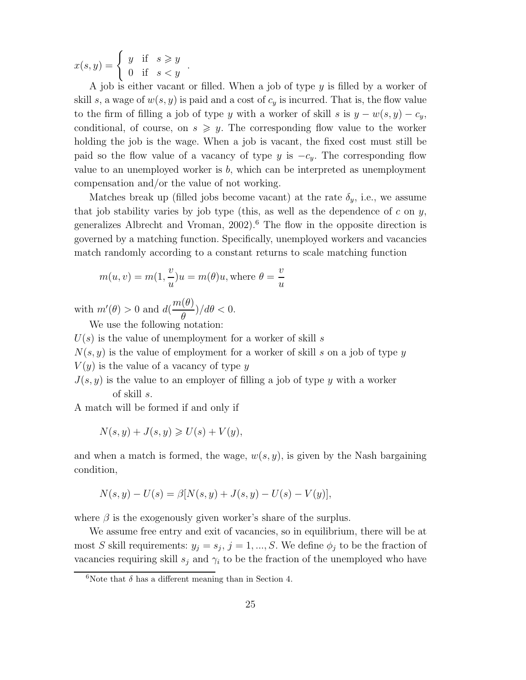$x(s,y) = \begin{cases} y & \text{if } s \geqslant y \\ 0 & \text{if } s < y \end{cases}$ .

A job is either vacant or filled. When a job of type  $y$  is filled by a worker of skill s, a wage of  $w(s, y)$  is paid and a cost of  $c<sub>y</sub>$  is incurred. That is, the flow value to the firm of filling a job of type y with a worker of skill s is  $y - w(s, y) - c_y$ , conditional, of course, on  $s \geq y$ . The corresponding flow value to the worker holding the job is the wage. When a job is vacant, the fixed cost must still be paid so the flow value of a vacancy of type y is  $-c_y$ . The corresponding flow value to an unemployed worker is  $b$ , which can be interpreted as unemployment compensation and/or the value of not working.

Matches break up (filled jobs become vacant) at the rate  $\delta_y$ , i.e., we assume that job stability varies by job type (this, as well as the dependence of  $c$  on  $y$ , generalizes Albrecht and Vroman, 2002).<sup>6</sup> The flow in the opposite direction is governed by a matching function. Specifically, unemployed workers and vacancies match randomly according to a constant returns to scale matching function

$$
m(u, v) = m(1, \frac{v}{u})u = m(\theta)u, \text{where } \theta = \frac{v}{u}
$$

with  $m'(\theta) > 0$  and  $d(\theta)$  $m(\theta)$  $\frac{\partial}{\partial \theta}$ )/d $\theta$  < 0.

We use the following notation:

 $U(s)$  is the value of unemployment for a worker of skill s

 $N(s, y)$  is the value of employment for a worker of skill s on a job of type y

 $V(y)$  is the value of a vacancy of type y

 $J(s, y)$  is the value to an employer of filling a job of type y with a worker of skill s.

A match will be formed if and only if

$$
N(s, y) + J(s, y) \ge U(s) + V(y),
$$

and when a match is formed, the wage,  $w(s, y)$ , is given by the Nash bargaining condition,

$$
N(s, y) - U(s) = \beta [N(s, y) + J(s, y) - U(s) - V(y)],
$$

where  $\beta$  is the exogenously given worker's share of the surplus.

We assume free entry and exit of vacancies, so in equilibrium, there will be at most S skill requirements:  $y_j = s_j$ ,  $j = 1, ..., S$ . We define  $\phi_j$  to be the fraction of vacancies requiring skill  $s_j$  and  $\gamma_i$  to be the fraction of the unemployed who have

<sup>&</sup>lt;sup>6</sup>Note that  $\delta$  has a different meaning than in Section 4.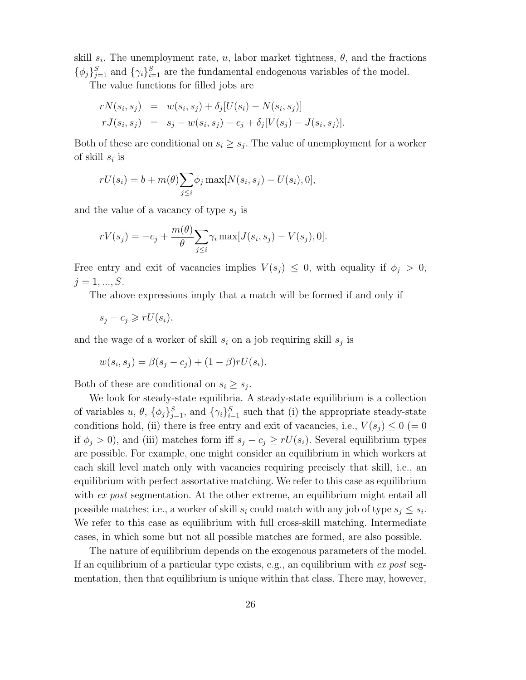skill  $s_i$ . The unemployment rate, u, labor market tightness,  $\theta$ , and the fractions  $\{\phi_j\}_{j=1}^S$  and  $\{\gamma_i\}_{i=1}^S$  are the fundamental endogenous variables of the model.

The value functions for filled jobs are

$$
rN(s_i, s_j) = w(s_i, s_j) + \delta_j [U(s_i) - N(s_i, s_j)]
$$
  
\n
$$
rJ(s_i, s_j) = s_j - w(s_i, s_j) - c_j + \delta_j [V(s_j) - J(s_i, s_j)].
$$

Both of these are conditional on  $s_i \geq s_j$ . The value of unemployment for a worker of skill  $s_i$  is

$$
rU(s_i) = b + m(\theta) \sum_{j \le i} \phi_j \max[N(s_i, s_j) - U(s_i), 0],
$$

and the value of a vacancy of type  $s_i$  is

$$
rV(s_j) = -c_j + \frac{m(\theta)}{\theta} \sum_{j \leq i} \gamma_i \max[J(s_i, s_j) - V(s_j), 0].
$$

Free entry and exit of vacancies implies  $V(s_j) \leq 0$ , with equality if  $\phi_j > 0$ ,  $j = 1, ..., S$ .

The above expressions imply that a match will be formed if and only if

$$
s_j - c_j \geqslant rU(s_i).
$$

and the wage of a worker of skill  $s_i$  on a job requiring skill  $s_j$  is

$$
w(s_i, s_j) = \beta(s_j - c_j) + (1 - \beta)rU(s_i).
$$

Both of these are conditional on  $s_i \geq s_j$ .

We look for steady-state equilibria. A steady-state equilibrium is a collection of variables  $u, \theta, \{\phi_j\}_{j=1}^S$ , and  $\{\gamma_i\}_{i=1}^S$  such that (i) the appropriate steady-state conditions hold, (ii) there is free entry and exit of vacancies, i.e.,  $V(s_j) \leq 0$  (= 0 if  $\phi_i > 0$ ), and (iii) matches form iff  $s_i - c_j \geq rU(s_i)$ . Several equilibrium types are possible. For example, one might consider an equilibrium in which workers at each skill level match only with vacancies requiring precisely that skill, i.e., an equilibrium with perfect assortative matching. We refer to this case as equilibrium with ex post segmentation. At the other extreme, an equilibrium might entail all possible matches; i.e., a worker of skill  $s_i$  could match with any job of type  $s_j \leq s_i$ . We refer to this case as equilibrium with full cross-skill matching. Intermediate cases, in which some but not all possible matches are formed, are also possible.

The nature of equilibrium depends on the exogenous parameters of the model. If an equilibrium of a particular type exists, e.g., an equilibrium with  $ex$  post segmentation, then that equilibrium is unique within that class. There may, however,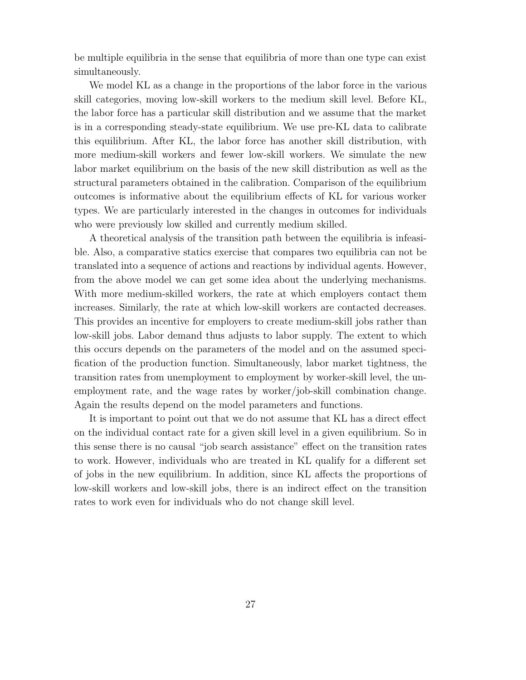be multiple equilibria in the sense that equilibria of more than one type can exist simultaneously.

We model KL as a change in the proportions of the labor force in the various skill categories, moving low-skill workers to the medium skill level. Before KL, the labor force has a particular skill distribution and we assume that the market is in a corresponding steady-state equilibrium. We use pre-KL data to calibrate this equilibrium. After KL, the labor force has another skill distribution, with more medium-skill workers and fewer low-skill workers. We simulate the new labor market equilibrium on the basis of the new skill distribution as well as the structural parameters obtained in the calibration. Comparison of the equilibrium outcomes is informative about the equilibrium effects of KL for various worker types. We are particularly interested in the changes in outcomes for individuals who were previously low skilled and currently medium skilled.

A theoretical analysis of the transition path between the equilibria is infeasible. Also, a comparative statics exercise that compares two equilibria can not be translated into a sequence of actions and reactions by individual agents. However, from the above model we can get some idea about the underlying mechanisms. With more medium-skilled workers, the rate at which employers contact them increases. Similarly, the rate at which low-skill workers are contacted decreases. This provides an incentive for employers to create medium-skill jobs rather than low-skill jobs. Labor demand thus adjusts to labor supply. The extent to which this occurs depends on the parameters of the model and on the assumed specification of the production function. Simultaneously, labor market tightness, the transition rates from unemployment to employment by worker-skill level, the unemployment rate, and the wage rates by worker/job-skill combination change. Again the results depend on the model parameters and functions.

It is important to point out that we do not assume that KL has a direct effect on the individual contact rate for a given skill level in a given equilibrium. So in this sense there is no causal "job search assistance" effect on the transition rates to work. However, individuals who are treated in KL qualify for a different set of jobs in the new equilibrium. In addition, since KL affects the proportions of low-skill workers and low-skill jobs, there is an indirect effect on the transition rates to work even for individuals who do not change skill level.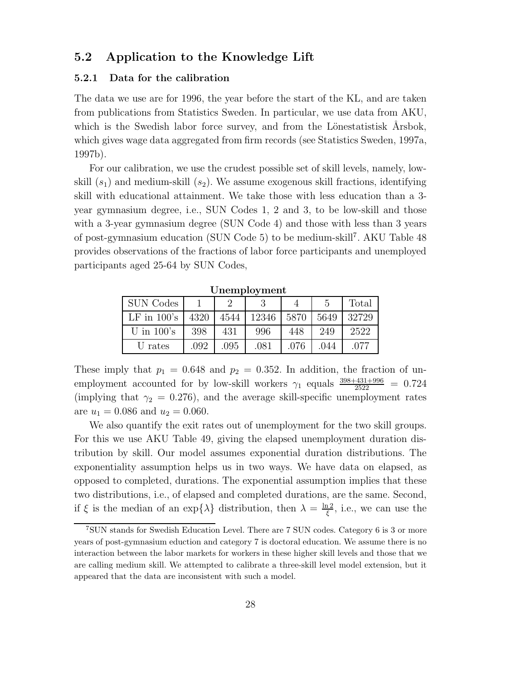## **5.2 Application to the Knowledge Lift**

#### **5.2.1 Data for the calibration**

The data we use are for 1996, the year before the start of the KL, and are taken from publications from Statistics Sweden. In particular, we use data from AKU, which is the Swedish labor force survey, and from the Lönestatistisk Årsbok, which gives wage data aggregated from firm records (see Statistics Sweden, 1997a, 1997b).

For our calibration, we use the crudest possible set of skill levels, namely, lowskill  $(s_1)$  and medium-skill  $(s_2)$ . We assume exogenous skill fractions, identifying skill with educational attainment. We take those with less education than a 3 year gymnasium degree, i.e., SUN Codes 1, 2 and 3, to be low-skill and those with a 3-year gymnasium degree (SUN Code 4) and those with less than 3 years of post-gymnasium education (SUN Code 5) to be medium-skill<sup>7</sup>. AKU Table 48 provides observations of the fractions of labor force participants and unemployed participants aged 25-64 by SUN Codes,

**Unemployment**

| <b>SUN</b> Codes |      |      |       |      |      | Total |
|------------------|------|------|-------|------|------|-------|
| $LF$ in $100$ 's | 4320 | 4544 | 12346 | 5870 | 5649 | 32729 |
| U in $100$ 's    | 398  | 431  | 996   | 448  | 249  | 2522  |
| U rates          | .092 | .095 | .081  | .076 | .044 | .077  |

These imply that  $p_1 = 0.648$  and  $p_2 = 0.352$ . In addition, the fraction of unemployment accounted for by low-skill workers  $\gamma_1$  equals  $\frac{398+431+996}{2522} = 0.724$ (implying that  $\gamma_2 = 0.276$ ), and the average skill-specific unemployment rates are  $u_1 = 0.086$  and  $u_2 = 0.060$ .

We also quantify the exit rates out of unemployment for the two skill groups. For this we use AKU Table 49, giving the elapsed unemployment duration distribution by skill. Our model assumes exponential duration distributions. The exponentiality assumption helps us in two ways. We have data on elapsed, as opposed to completed, durations. The exponential assumption implies that these two distributions, i.e., of elapsed and completed durations, are the same. Second, if  $\xi$  is the median of an exp $\{\lambda\}$  distribution, then  $\lambda = \frac{\ln 2}{\xi}$ , i.e., we can use the

 $7\,\mathrm{SUM}$  stands for Swedish Education Level. There are 7 SUN codes. Category 6 is 3 or more years of post-gymnasium eduction and category 7 is doctoral education. We assume there is no interaction between the labor markets for workers in these higher skill levels and those that we are calling medium skill. We attempted to calibrate a three-skill level model extension, but it appeared that the data are inconsistent with such a model.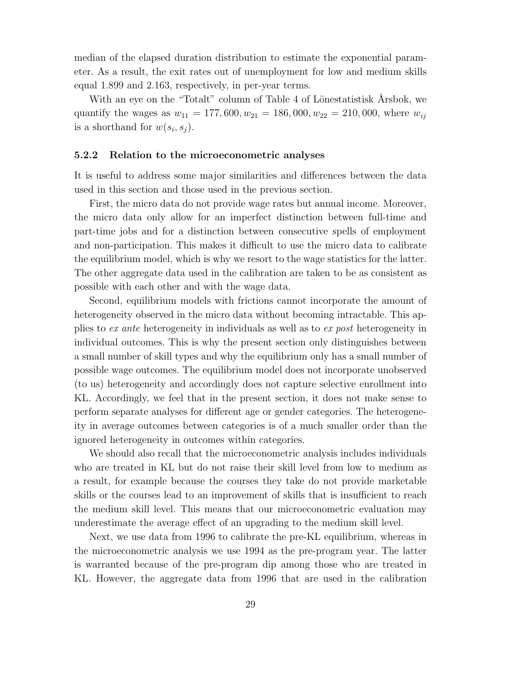median of the elapsed duration distribution to estimate the exponential parameter. As a result, the exit rates out of unemployment for low and medium skills equal 1.899 and 2.163, respectively, in per-year terms.

With an eye on the "Totalt" column of Table 4 of Lönestatistisk Årsbok, we quantify the wages as  $w_{11} = 177,600, w_{21} = 186,000, w_{22} = 210,000$ , where  $w_{ij}$ is a shorthand for  $w(s_i, s_j)$ .

#### **5.2.2 Relation to the microeconometric analyses**

It is useful to address some major similarities and differences between the data used in this section and those used in the previous section.

First, the micro data do not provide wage rates but annual income. Moreover, the micro data only allow for an imperfect distinction between full-time and part-time jobs and for a distinction between consecutive spells of employment and non-participation. This makes it difficult to use the micro data to calibrate the equilibrium model, which is why we resort to the wage statistics for the latter. The other aggregate data used in the calibration are taken to be as consistent as possible with each other and with the wage data.

Second, equilibrium models with frictions cannot incorporate the amount of heterogeneity observed in the micro data without becoming intractable. This applies to ex ante heterogeneity in individuals as well as to ex post heterogeneity in individual outcomes. This is why the present section only distinguishes between a small number of skill types and why the equilibrium only has a small number of possible wage outcomes. The equilibrium model does not incorporate unobserved (to us) heterogeneity and accordingly does not capture selective enrollment into KL. Accordingly, we feel that in the present section, it does not make sense to perform separate analyses for different age or gender categories. The heterogeneity in average outcomes between categories is of a much smaller order than the ignored heterogeneity in outcomes within categories.

We should also recall that the microeconometric analysis includes individuals who are treated in KL but do not raise their skill level from low to medium as a result, for example because the courses they take do not provide marketable skills or the courses lead to an improvement of skills that is insufficient to reach the medium skill level. This means that our microeconometric evaluation may underestimate the average effect of an upgrading to the medium skill level.

Next, we use data from 1996 to calibrate the pre-KL equilibrium, whereas in the microeconometric analysis we use 1994 as the pre-program year. The latter is warranted because of the pre-program dip among those who are treated in KL. However, the aggregate data from 1996 that are used in the calibration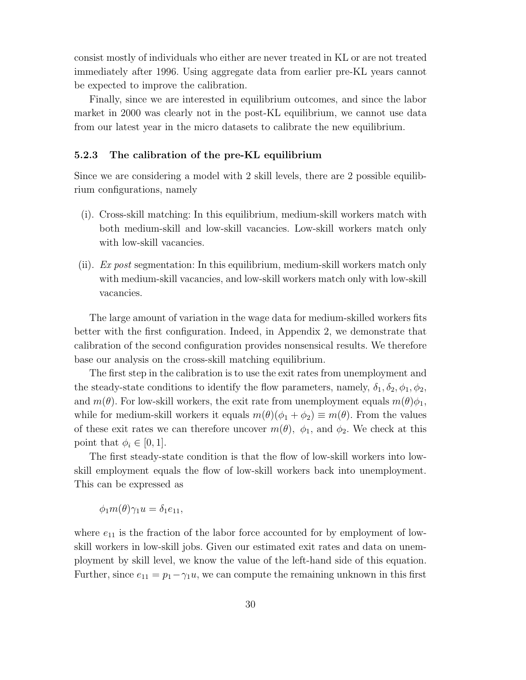consist mostly of individuals who either are never treated in KL or are not treated immediately after 1996. Using aggregate data from earlier pre-KL years cannot be expected to improve the calibration.

Finally, since we are interested in equilibrium outcomes, and since the labor market in 2000 was clearly not in the post-KL equilibrium, we cannot use data from our latest year in the micro datasets to calibrate the new equilibrium.

#### **5.2.3 The calibration of the pre-KL equilibrium**

Since we are considering a model with 2 skill levels, there are 2 possible equilibrium configurations, namely

- (i). Cross-skill matching: In this equilibrium, medium-skill workers match with both medium-skill and low-skill vacancies. Low-skill workers match only with low-skill vacancies.
- (ii). Ex post segmentation: In this equilibrium, medium-skill workers match only with medium-skill vacancies, and low-skill workers match only with low-skill vacancies.

The large amount of variation in the wage data for medium-skilled workers fits better with the first configuration. Indeed, in Appendix 2, we demonstrate that calibration of the second configuration provides nonsensical results. We therefore base our analysis on the cross-skill matching equilibrium.

The first step in the calibration is to use the exit rates from unemployment and the steady-state conditions to identify the flow parameters, namely,  $\delta_1, \delta_2, \phi_1, \phi_2$ , and  $m(\theta)$ . For low-skill workers, the exit rate from unemployment equals  $m(\theta)\phi_1$ , while for medium-skill workers it equals  $m(\theta)(\phi_1 + \phi_2) \equiv m(\theta)$ . From the values of these exit rates we can therefore uncover  $m(\theta)$ ,  $\phi_1$ , and  $\phi_2$ . We check at this point that  $\phi_i \in [0,1]$ .

The first steady-state condition is that the flow of low-skill workers into lowskill employment equals the flow of low-skill workers back into unemployment. This can be expressed as

 $\phi_1 m(\theta) \gamma_1 u = \delta_1 e_{11},$ 

where  $e_{11}$  is the fraction of the labor force accounted for by employment of lowskill workers in low-skill jobs. Given our estimated exit rates and data on unemployment by skill level, we know the value of the left-hand side of this equation. Further, since  $e_{11} = p_1 - \gamma_1 u$ , we can compute the remaining unknown in this first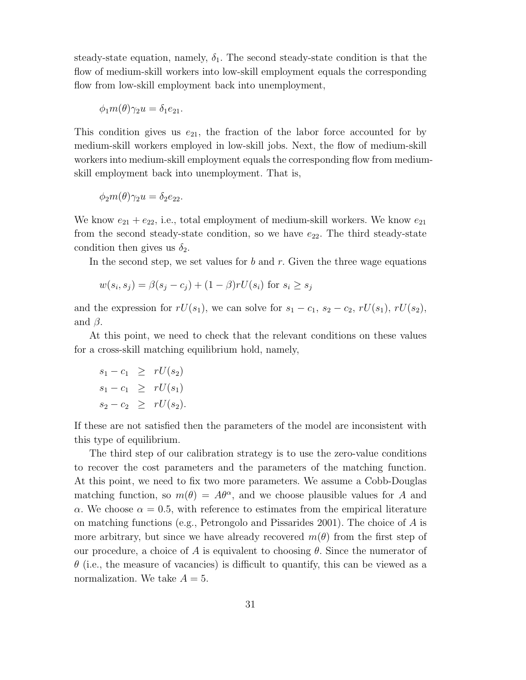steady-state equation, namely,  $\delta_1$ . The second steady-state condition is that the flow of medium-skill workers into low-skill employment equals the corresponding flow from low-skill employment back into unemployment,

$$
\phi_1 m(\theta) \gamma_2 u = \delta_1 e_{21}.
$$

This condition gives us  $e_{21}$ , the fraction of the labor force accounted for by medium-skill workers employed in low-skill jobs. Next, the flow of medium-skill workers into medium-skill employment equals the corresponding flow from mediumskill employment back into unemployment. That is,

$$
\phi_2 m(\theta) \gamma_2 u = \delta_2 e_{22}.
$$

We know  $e_{21} + e_{22}$ , i.e., total employment of medium-skill workers. We know  $e_{21}$ from the second steady-state condition, so we have  $e_{22}$ . The third steady-state condition then gives us  $\delta_2$ .

In the second step, we set values for  $b$  and  $r$ . Given the three wage equations

$$
w(s_i, s_j) = \beta(s_j - c_j) + (1 - \beta)rU(s_i)
$$
 for  $s_i \ge s_j$ 

and the expression for  $rU(s_1)$ , we can solve for  $s_1 - c_1$ ,  $s_2 - c_2$ ,  $rU(s_1)$ ,  $rU(s_2)$ , and  $\beta$ .

At this point, we need to check that the relevant conditions on these values for a cross-skill matching equilibrium hold, namely,

$$
s_1 - c_1 \geq rU(s_2)
$$
  
\n
$$
s_1 - c_1 \geq rU(s_1)
$$
  
\n
$$
s_2 - c_2 \geq rU(s_2).
$$

If these are not satisfied then the parameters of the model are inconsistent with this type of equilibrium.

The third step of our calibration strategy is to use the zero-value conditions to recover the cost parameters and the parameters of the matching function. At this point, we need to fix two more parameters. We assume a Cobb-Douglas matching function, so  $m(\theta) = A\theta^{\alpha}$ , and we choose plausible values for A and  $\alpha$ . We choose  $\alpha = 0.5$ , with reference to estimates from the empirical literature on matching functions (e.g., Petrongolo and Pissarides 2001). The choice of A is more arbitrary, but since we have already recovered  $m(\theta)$  from the first step of our procedure, a choice of A is equivalent to choosing  $\theta$ . Since the numerator of  $\theta$  (i.e., the measure of vacancies) is difficult to quantify, this can be viewed as a normalization. We take  $A = 5$ .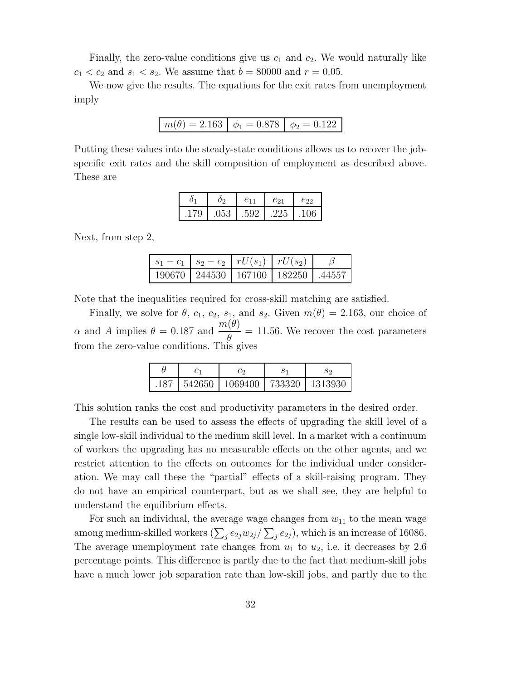Finally, the zero-value conditions give us  $c_1$  and  $c_2$ . We would naturally like  $c_1 < c_2$  and  $s_1 < s_2$ . We assume that  $b = 80000$  and  $r = 0.05$ .

We now give the results. The equations for the exit rates from unemployment imply

$$
m(\theta) = 2.163 \mid \phi_1 = 0.878 \mid \phi_2 = 0.122
$$

Putting these values into the steady-state conditions allows us to recover the jobspecific exit rates and the skill composition of employment as described above. These are

|      |      | $e_{11}$                | $e_{21}$     | $e_{22}$         |
|------|------|-------------------------|--------------|------------------|
| .179 | .053 | $\cdot$ 1.592 + $\cdot$ | $\vert$ .225 | $\overline{106}$ |

Next, from step 2,

| $ s_1 - c_1   s_2 - c_2   rU(s_1)   rU(s_2)$ |  |  |
|----------------------------------------------|--|--|
| 190670   244530   167100   182250   .44557   |  |  |

Note that the inequalities required for cross-skill matching are satisfied.

Finally, we solve for  $\theta$ ,  $c_1$ ,  $c_2$ ,  $s_1$ , and  $s_2$ . Given  $m(\theta)=2.163$ , our choice of  $\alpha$  and A implies  $\theta = 0.187$  and  $\frac{m(\theta)}{a}$  $\frac{\partial^2 \phi}{\partial \theta^2}$  = 11.56. We recover the cost parameters from the zero-value conditions. This gives

|      |        | Co.                                           | ЭS |
|------|--------|-----------------------------------------------|----|
| .187 | 542650 | $\lceil 1069400 \rceil 733320 \rceil 1313930$ |    |

This solution ranks the cost and productivity parameters in the desired order.

The results can be used to assess the effects of upgrading the skill level of a single low-skill individual to the medium skill level. In a market with a continuum of workers the upgrading has no measurable effects on the other agents, and we restrict attention to the effects on outcomes for the individual under consideration. We may call these the "partial" effects of a skill-raising program. They do not have an empirical counterpart, but as we shall see, they are helpful to understand the equilibrium effects.

For such an individual, the average wage changes from  $w_{11}$  to the mean wage among medium-skilled workers  $(\sum_i e_{2j}w_{2j}/\sum_i e_{2j})$ , which is an increase of 16086. The average unemployment rate changes from  $u_1$  to  $u_2$ , i.e. it decreases by 2.6 percentage points. This difference is partly due to the fact that medium-skill jobs have a much lower job separation rate than low-skill jobs, and partly due to the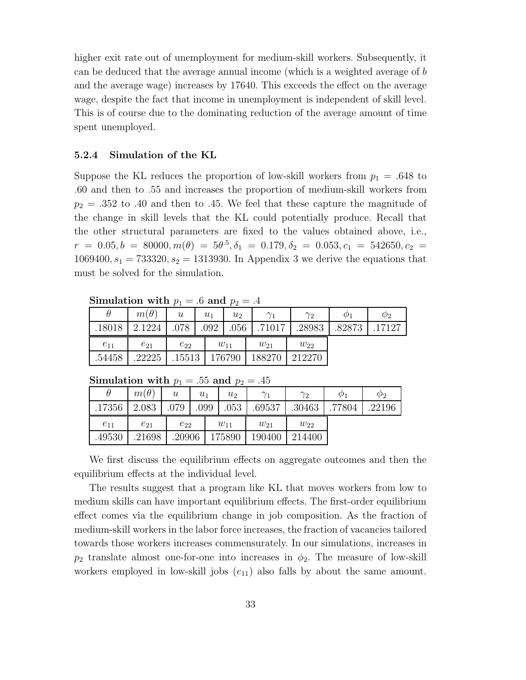higher exit rate out of unemployment for medium-skill workers. Subsequently, it can be deduced that the average annual income (which is a weighted average of b and the average wage) increases by 17640. This exceeds the effect on the average wage, despite the fact that income in unemployment is independent of skill level. This is of course due to the dominating reduction of the average amount of time spent unemployed.

#### **5.2.4 Simulation of the KL**

Suppose the KL reduces the proportion of low-skill workers from  $p_1 = .648$  to .60 and then to .55 and increases the proportion of medium-skill workers from  $p_2 = .352$  to .40 and then to .45. We feel that these capture the magnitude of the change in skill levels that the KL could potentially produce. Recall that the other structural parameters are fixed to the values obtained above, i.e.,  $r = 0.05, b = 80000, m(\theta) = 5\theta^{.5}, \delta_1 = 0.179, \delta_2 = 0.053, c_1 = 542650, c_2 =$ 1069400,  $s_1 = 733320, s_2 = 1313930$ . In Appendix 3 we derive the equations that must be solved for the simulation.

**Simulation with**  $p_1 = .6$  and  $p_2 = .4$ 

| ~~~~~~~~~~~~~~ ~<br>$\sim$ $\sim$ $\sim$ $\sim$ $\sim$ $\sim$ |             |                  |       |          |            |            |             |             |  |  |
|---------------------------------------------------------------|-------------|------------------|-------|----------|------------|------------|-------------|-------------|--|--|
|                                                               | $m(\theta)$ | $\boldsymbol{u}$ | $u_1$ | $u_2$    | $\gamma_1$ | $\gamma_2$ | $\varphi_1$ | $\varphi_2$ |  |  |
| .18018                                                        | 2.1224      | .078             | .092  | .056     | .71017     | .28983     | .82873      | .17127      |  |  |
| $e_{11}$                                                      | $e_{21}$    | $e_{22}$         |       | $w_{11}$ | $w_{21}$   | $w_{22}$   |             |             |  |  |
| .54458                                                        | .22225      | .15513           |       | 176790   | 188270     | 212270     |             |             |  |  |

**Simulation with**  $p_1 = .55$  and  $p_2 = .45$ 

|          |             | $\mathbf{1}$              |       | . .      |            |            |             |             |
|----------|-------------|---------------------------|-------|----------|------------|------------|-------------|-------------|
| $\theta$ | $m(\theta)$ | $\boldsymbol{\mathit{u}}$ | $u_1$ | $u_2$    | $\gamma_1$ | $\gamma_2$ | $\varphi_1$ | $\varphi_2$ |
| .17356   | 2.083       | 079                       | 099   | .053     | .69537     | .30463     | 77804       | .22196      |
|          |             |                           |       |          |            |            |             |             |
| $e_{11}$ | $e_{21}$    | $e_{22}$                  |       | $w_{11}$ | $w_{21}$   | $w_{22}$   |             |             |

We first discuss the equilibrium effects on aggregate outcomes and then the equilibrium effects at the individual level.

The results suggest that a program like KL that moves workers from low to medium skills can have important equilibrium effects. The first-order equilibrium effect comes via the equilibrium change in job composition. As the fraction of medium-skill workers in the labor force increases, the fraction of vacancies tailored towards those workers increases commensurately. In our simulations, increases in  $p_2$  translate almost one-for-one into increases in  $\phi_2$ . The measure of low-skill workers employed in low-skill jobs  $(e_{11})$  also falls by about the same amount.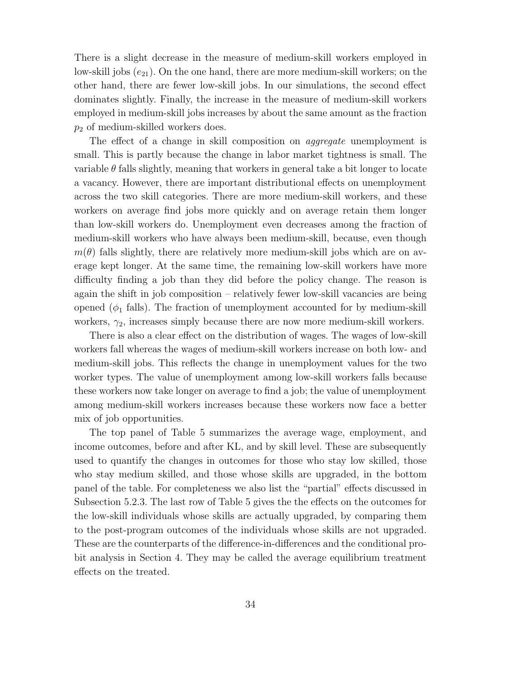There is a slight decrease in the measure of medium-skill workers employed in low-skill jobs  $(e_{21})$ . On the one hand, there are more medium-skill workers; on the other hand, there are fewer low-skill jobs. In our simulations, the second effect dominates slightly. Finally, the increase in the measure of medium-skill workers employed in medium-skill jobs increases by about the same amount as the fraction  $p_2$  of medium-skilled workers does.

The effect of a change in skill composition on *aggregate* unemployment is small. This is partly because the change in labor market tightness is small. The variable  $\theta$  falls slightly, meaning that workers in general take a bit longer to locate a vacancy. However, there are important distributional effects on unemployment across the two skill categories. There are more medium-skill workers, and these workers on average find jobs more quickly and on average retain them longer than low-skill workers do. Unemployment even decreases among the fraction of medium-skill workers who have always been medium-skill, because, even though  $m(\theta)$  falls slightly, there are relatively more medium-skill jobs which are on average kept longer. At the same time, the remaining low-skill workers have more difficulty finding a job than they did before the policy change. The reason is again the shift in job composition – relatively fewer low-skill vacancies are being opened  $(\phi_1$  falls). The fraction of unemployment accounted for by medium-skill workers,  $\gamma_2$ , increases simply because there are now more medium-skill workers.

There is also a clear effect on the distribution of wages. The wages of low-skill workers fall whereas the wages of medium-skill workers increase on both low- and medium-skill jobs. This reflects the change in unemployment values for the two worker types. The value of unemployment among low-skill workers falls because these workers now take longer on average to find a job; the value of unemployment among medium-skill workers increases because these workers now face a better mix of job opportunities.

The top panel of Table 5 summarizes the average wage, employment, and income outcomes, before and after KL, and by skill level. These are subsequently used to quantify the changes in outcomes for those who stay low skilled, those who stay medium skilled, and those whose skills are upgraded, in the bottom panel of the table. For completeness we also list the "partial" effects discussed in Subsection 5.2.3. The last row of Table 5 gives the the effects on the outcomes for the low-skill individuals whose skills are actually upgraded, by comparing them to the post-program outcomes of the individuals whose skills are not upgraded. These are the counterparts of the difference-in-differences and the conditional probit analysis in Section 4. They may be called the average equilibrium treatment effects on the treated.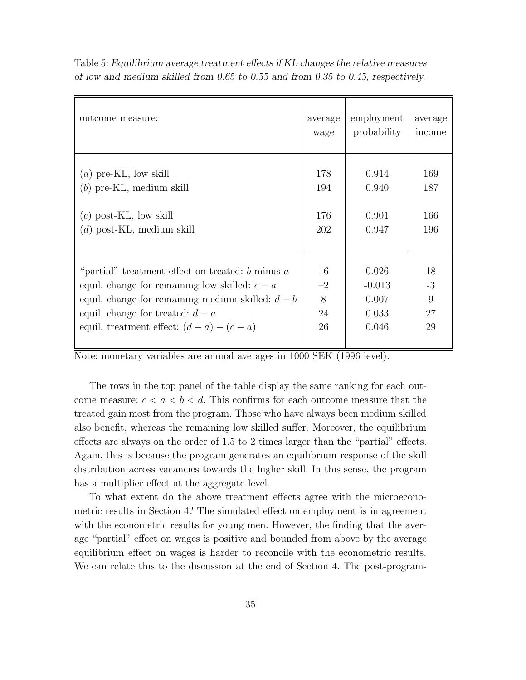| outcome measure:                                     | average | employment  | average |
|------------------------------------------------------|---------|-------------|---------|
|                                                      | wage    | probability | income  |
| $(a)$ pre-KL, low skill                              | 178     | 0.914       | 169     |
| $(b)$ pre-KL, medium skill                           | 194     | 0.940       | 187     |
| $(c)$ post-KL, low skill                             | 176     | 0.901       | 166     |
| $(d)$ post-KL, medium skill                          | 202     | 0.947       | 196     |
| "partial" treatment effect on treated: $b$ minus $a$ | 16      | 0.026       | 18      |
| equil. change for remaining low skilled: $c - a$     | $-2$    | $-0.013$    | $-3$    |
| equil. change for remaining medium skilled: $d - b$  | 8       | 0.007       | 9       |
| equil. change for treated: $d - a$                   | 24      | 0.033       | 27      |
| equil. treatment effect: $(d - a) - (c - a)$         | 26      | 0.046       | 29      |

Table 5: *Equilibrium average treatment effects if KL changes the relative measures of low and medium skilled from 0.65 to 0.55 and from 0.35 to 0.45, respectively.*

Note: monetary variables are annual averages in 1000 SEK (1996 level).

The rows in the top panel of the table display the same ranking for each outcome measure:  $c < a < b < d$ . This confirms for each outcome measure that the treated gain most from the program. Those who have always been medium skilled also benefit, whereas the remaining low skilled suffer. Moreover, the equilibrium effects are always on the order of 1.5 to 2 times larger than the "partial" effects. Again, this is because the program generates an equilibrium response of the skill distribution across vacancies towards the higher skill. In this sense, the program has a multiplier effect at the aggregate level.

To what extent do the above treatment effects agree with the microeconometric results in Section 4? The simulated effect on employment is in agreement with the econometric results for young men. However, the finding that the average "partial" effect on wages is positive and bounded from above by the average equilibrium effect on wages is harder to reconcile with the econometric results. We can relate this to the discussion at the end of Section 4. The post-program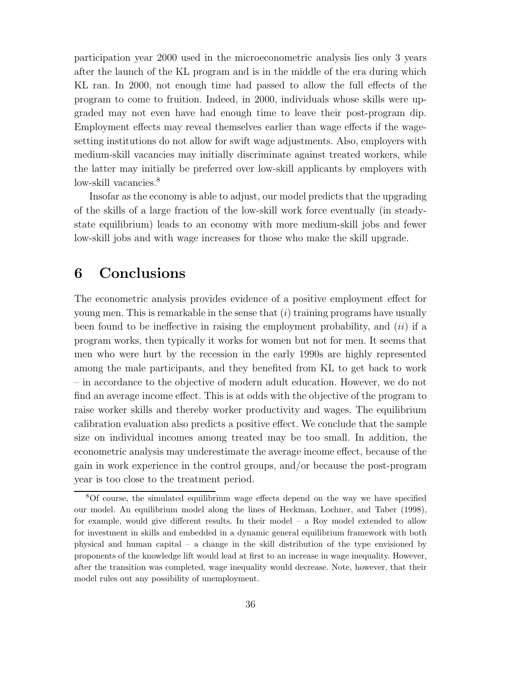participation year 2000 used in the microeconometric analysis lies only 3 years after the launch of the KL program and is in the middle of the era during which KL ran. In 2000, not enough time had passed to allow the full effects of the program to come to fruition. Indeed, in 2000, individuals whose skills were upgraded may not even have had enough time to leave their post-program dip. Employment effects may reveal themselves earlier than wage effects if the wagesetting institutions do not allow for swift wage adjustments. Also, employers with medium-skill vacancies may initially discriminate against treated workers, while the latter may initially be preferred over low-skill applicants by employers with low-skill vacancies.<sup>8</sup>

Insofar as the economy is able to adjust, our model predicts that the upgrading of the skills of a large fraction of the low-skill work force eventually (in steadystate equilibrium) leads to an economy with more medium-skill jobs and fewer low-skill jobs and with wage increases for those who make the skill upgrade.

## **6 Conclusions**

The econometric analysis provides evidence of a positive employment effect for young men. This is remarkable in the sense that  $(i)$  training programs have usually been found to be ineffective in raising the employment probability, and  $(ii)$  if a program works, then typically it works for women but not for men. It seems that men who were hurt by the recession in the early 1990s are highly represented among the male participants, and they benefited from KL to get back to work – in accordance to the objective of modern adult education. However, we do not find an average income effect. This is at odds with the objective of the program to raise worker skills and thereby worker productivity and wages. The equilibrium calibration evaluation also predicts a positive effect. We conclude that the sample size on individual incomes among treated may be too small. In addition, the econometric analysis may underestimate the average income effect, because of the gain in work experience in the control groups, and/or because the post-program year is too close to the treatment period.

<sup>8</sup>Of course, the simulated equilibrium wage effects depend on the way we have specified our model. An equilibrium model along the lines of Heckman, Lochner, and Taber (1998), for example, would give different results. In their model – a Roy model extended to allow for investment in skills and embedded in a dynamic general equilibrium framework with both physical and human capital – a change in the skill distribution of the type envisioned by proponents of the knowledge lift would lead at first to an increase in wage inequality. However, after the transition was completed, wage inequality would decrease. Note, however, that their model rules out any possibility of unemployment.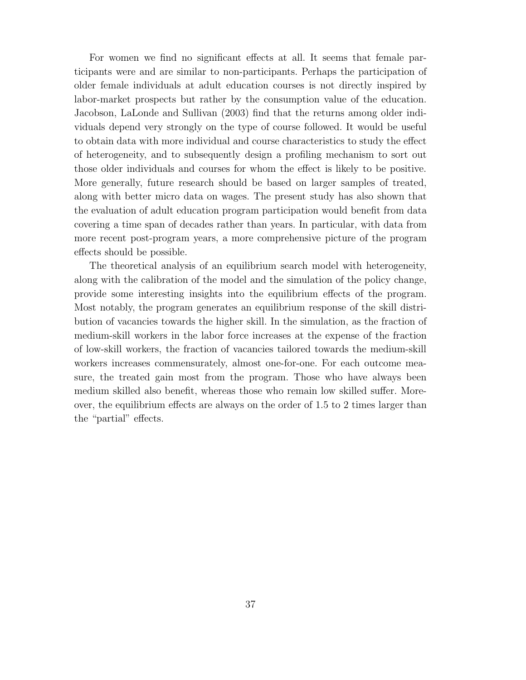For women we find no significant effects at all. It seems that female participants were and are similar to non-participants. Perhaps the participation of older female individuals at adult education courses is not directly inspired by labor-market prospects but rather by the consumption value of the education. Jacobson, LaLonde and Sullivan (2003) find that the returns among older individuals depend very strongly on the type of course followed. It would be useful to obtain data with more individual and course characteristics to study the effect of heterogeneity, and to subsequently design a profiling mechanism to sort out those older individuals and courses for whom the effect is likely to be positive. More generally, future research should be based on larger samples of treated, along with better micro data on wages. The present study has also shown that the evaluation of adult education program participation would benefit from data covering a time span of decades rather than years. In particular, with data from more recent post-program years, a more comprehensive picture of the program effects should be possible.

The theoretical analysis of an equilibrium search model with heterogeneity, along with the calibration of the model and the simulation of the policy change, provide some interesting insights into the equilibrium effects of the program. Most notably, the program generates an equilibrium response of the skill distribution of vacancies towards the higher skill. In the simulation, as the fraction of medium-skill workers in the labor force increases at the expense of the fraction of low-skill workers, the fraction of vacancies tailored towards the medium-skill workers increases commensurately, almost one-for-one. For each outcome measure, the treated gain most from the program. Those who have always been medium skilled also benefit, whereas those who remain low skilled suffer. Moreover, the equilibrium effects are always on the order of 1.5 to 2 times larger than the "partial" effects.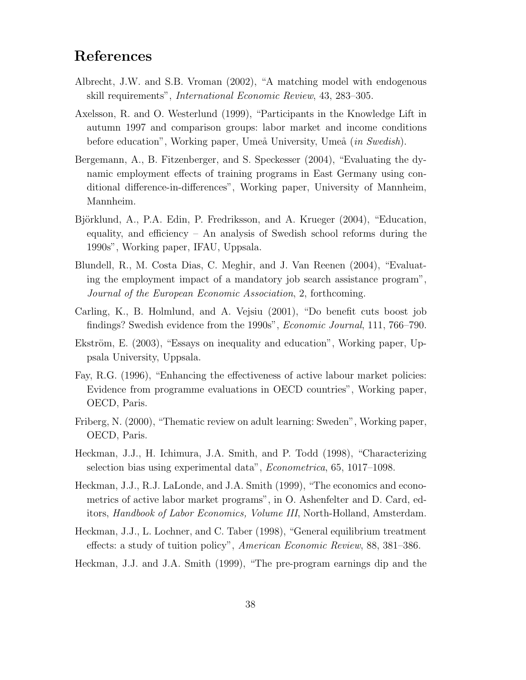# **References**

- Albrecht, J.W. and S.B. Vroman (2002), "A matching model with endogenous skill requirements", International Economic Review, 43, 283–305.
- Axelsson, R. and O. Westerlund (1999), "Participants in the Knowledge Lift in autumn 1997 and comparison groups: labor market and income conditions before education", Working paper, Umeå University, Umeå (*in Swedish*).
- Bergemann, A., B. Fitzenberger, and S. Speckesser (2004), "Evaluating the dynamic employment effects of training programs in East Germany using conditional difference-in-differences", Working paper, University of Mannheim, Mannheim.
- Björklund, A., P.A. Edin, P. Fredriksson, and A. Krueger (2004), "Education, equality, and efficiency – An analysis of Swedish school reforms during the 1990s", Working paper, IFAU, Uppsala.
- Blundell, R., M. Costa Dias, C. Meghir, and J. Van Reenen (2004), "Evaluating the employment impact of a mandatory job search assistance program", Journal of the European Economic Association, 2, forthcoming.
- Carling, K., B. Holmlund, and A. Vejsiu (2001), "Do benefit cuts boost job findings? Swedish evidence from the 1990s", Economic Journal, 111, 766–790.
- Ekström, E. (2003), "Essays on inequality and education", Working paper, Uppsala University, Uppsala.
- Fay, R.G. (1996), "Enhancing the effectiveness of active labour market policies: Evidence from programme evaluations in OECD countries", Working paper, OECD, Paris.
- Friberg, N. (2000), "Thematic review on adult learning: Sweden", Working paper, OECD, Paris.
- Heckman, J.J., H. Ichimura, J.A. Smith, and P. Todd (1998), "Characterizing selection bias using experimental data", Econometrica, 65, 1017–1098.
- Heckman, J.J., R.J. LaLonde, and J.A. Smith (1999), "The economics and econometrics of active labor market programs", in O. Ashenfelter and D. Card, editors, Handbook of Labor Economics, Volume III, North-Holland, Amsterdam.
- Heckman, J.J., L. Lochner, and C. Taber (1998), "General equilibrium treatment effects: a study of tuition policy", American Economic Review, 88, 381–386.
- Heckman, J.J. and J.A. Smith (1999), "The pre-program earnings dip and the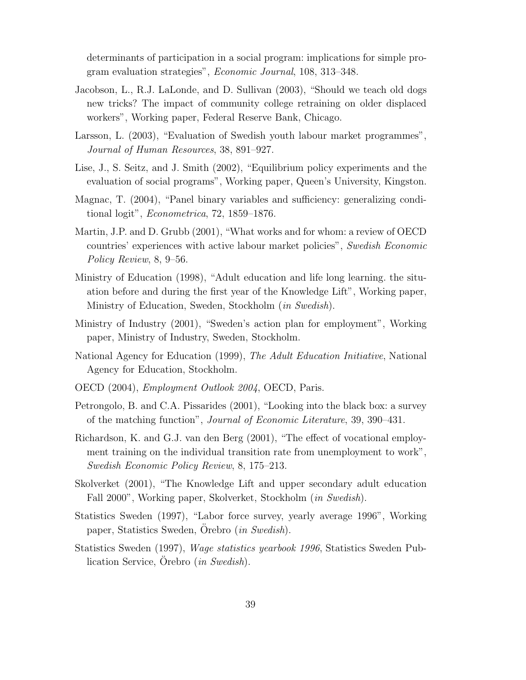determinants of participation in a social program: implications for simple program evaluation strategies", Economic Journal, 108, 313–348.

- Jacobson, L., R.J. LaLonde, and D. Sullivan (2003), "Should we teach old dogs new tricks? The impact of community college retraining on older displaced workers", Working paper, Federal Reserve Bank, Chicago.
- Larsson, L. (2003), "Evaluation of Swedish youth labour market programmes", Journal of Human Resources, 38, 891–927.
- Lise, J., S. Seitz, and J. Smith (2002), "Equilibrium policy experiments and the evaluation of social programs", Working paper, Queen's University, Kingston.
- Magnac, T. (2004), "Panel binary variables and sufficiency: generalizing conditional logit", Econometrica, 72, 1859–1876.
- Martin, J.P. and D. Grubb (2001), "What works and for whom: a review of OECD countries' experiences with active labour market policies", Swedish Economic Policy Review, 8, 9–56.
- Ministry of Education (1998), "Adult education and life long learning. the situation before and during the first year of the Knowledge Lift", Working paper, Ministry of Education, Sweden, Stockholm (in Swedish).
- Ministry of Industry (2001), "Sweden's action plan for employment", Working paper, Ministry of Industry, Sweden, Stockholm.
- National Agency for Education (1999), The Adult Education Initiative, National Agency for Education, Stockholm.
- OECD (2004), *Employment Outlook 2004*, OECD, Paris.
- Petrongolo, B. and C.A. Pissarides (2001), "Looking into the black box: a survey of the matching function", Journal of Economic Literature, 39, 390–431.
- Richardson, K. and G.J. van den Berg (2001), "The effect of vocational employment training on the individual transition rate from unemployment to work", Swedish Economic Policy Review, 8, 175–213.
- Skolverket (2001), "The Knowledge Lift and upper secondary adult education Fall 2000", Working paper, Skolverket, Stockholm (in Swedish).
- Statistics Sweden (1997), "Labor force survey, yearly average 1996", Working paper, Statistics Sweden, Orebro  $(in Swedish)$ .
- Statistics Sweden (1997), Wage statistics yearbook 1996, Statistics Sweden Publication Service, Orebro  $(in \; Swedish).$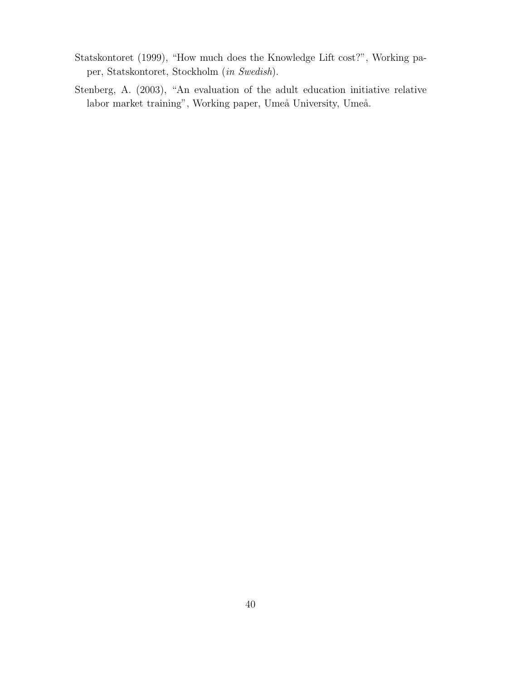- Statskontoret (1999), "How much does the Knowledge Lift cost?", Working paper, Statskontoret, Stockholm (in Swedish).
- Stenberg, A. (2003), "An evaluation of the adult education initiative relative labor market training", Working paper, Umeå University, Umeå.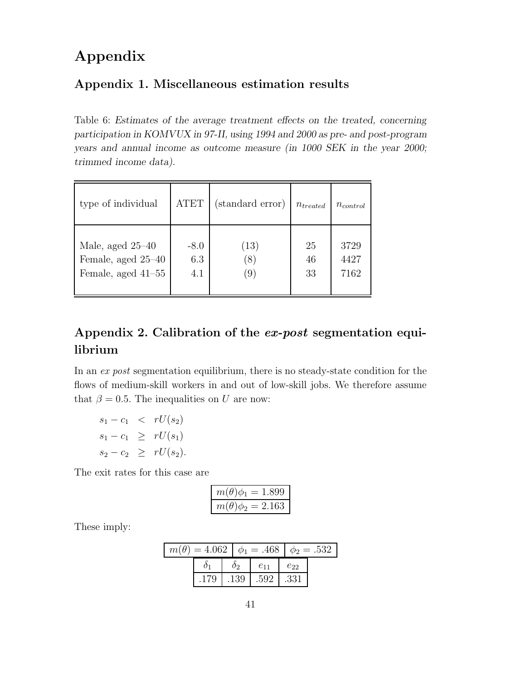# **Appendix**

## **Appendix 1.Miscellaneous estimation results**

Table 6: *Estimates of the average treatment effects on the treated, concerning participation in KOMVUX in 97-II, using 1994 and 2000 as pre- and post-program years and annual income as outcome measure (in 1000 SEK in the year 2000; trimmed income data).*

| type of individual   | <b>ATET</b> | (standard error) | $n_{treated}$ | $n_{control}$ |
|----------------------|-------------|------------------|---------------|---------------|
| Male, aged $25-40$   | $-8.0$      | (13)             | 25            | 3729          |
| Female, aged 25–40   | 6.3         | (8)              | 46            | 4427          |
| Female, aged $41-55$ | 4.1         | (9)              | 33            | 7162          |

# **Appendix 2.Calibration of the** *ex-post* **segmentation equilibrium**

In an ex post segmentation equilibrium, there is no steady-state condition for the flows of medium-skill workers in and out of low-skill jobs. We therefore assume that  $\beta = 0.5$ . The inequalities on U are now:

 $s_1 - c_1 < rU(s_2)$  $s_1 - c_1 \geq rU(s_1)$  $s_2 - c_2 \geq rU(s_2).$ 

The exit rates for this case are

| $m(\theta)\phi_1 = 1.899$ |
|---------------------------|
| $m(\theta)\phi_2=2.163$   |

These imply:

|      |    |  |                          |          | $m(\theta) = 4.062$ $\phi_1 = .468$ $\phi_2 = .532$ |  |
|------|----|--|--------------------------|----------|-----------------------------------------------------|--|
|      | 09 |  | $e_{11}$                 | $e_{22}$ |                                                     |  |
| .179 |    |  | $.139$   $.592$   $.331$ |          |                                                     |  |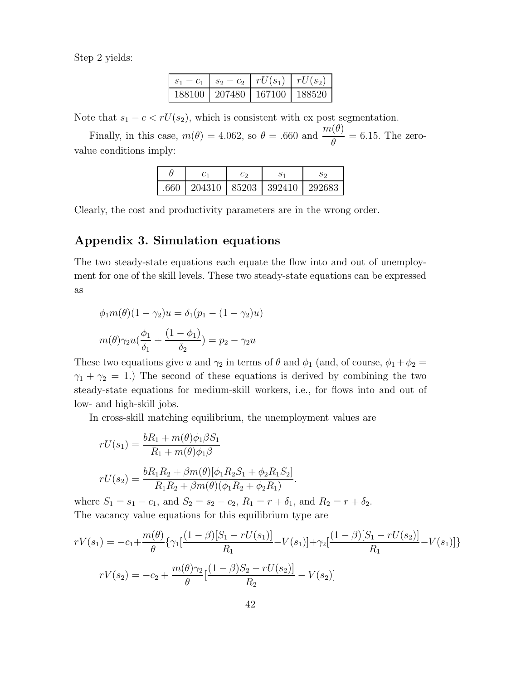Step 2 yields:

|          | $s_2-c_2$   $rU(s_1)$ | $rU(s_2)$ |
|----------|-----------------------|-----------|
| 188100 - | $1207480$ $167100$    | 1 188520  |

Note that  $s_1 - c < rU(s_2)$ , which is consistent with ex post segmentation.

Finally, in this case,  $m(\theta)=4.062$ , so  $\theta=.660$  and  $\frac{m(\theta)}{a}$  $\frac{\partial (0)}{\partial t} = 6.15$ . The zerovalue conditions imply:

| $.660$   204310   85203   392410   292683 |  |  |
|-------------------------------------------|--|--|

Clearly, the cost and productivity parameters are in the wrong order.

## **Appendix 3.Simulation equations**

The two steady-state equations each equate the flow into and out of unemployment for one of the skill levels. These two steady-state equations can be expressed as

$$
\phi_1 m(\theta)(1 - \gamma_2)u = \delta_1 (p_1 - (1 - \gamma_2)u)
$$

$$
m(\theta)\gamma_2 u(\frac{\phi_1}{\delta_1} + \frac{(1 - \phi_1)}{\delta_2}) = p_2 - \gamma_2 u
$$

These two equations give u and  $\gamma_2$  in terms of  $\theta$  and  $\phi_1$  (and, of course,  $\phi_1 + \phi_2 =$  $\gamma_1 + \gamma_2 = 1$ .) The second of these equations is derived by combining the two steady-state equations for medium-skill workers, i.e., for flows into and out of low- and high-skill jobs.

In cross-skill matching equilibrium, the unemployment values are

$$
rU(s_1) = \frac{bR_1 + m(\theta)\phi_1\beta S_1}{R_1 + m(\theta)\phi_1\beta}
$$
  

$$
rU(s_2) = \frac{bR_1R_2 + \beta m(\theta)[\phi_1R_2S_1 + \phi_2R_1S_2]}{R_1R_2 + \beta m(\theta)(\phi_1R_2 + \phi_2R_1)}.
$$

where  $S_1 = s_1 - c_1$ , and  $S_2 = s_2 - c_2$ ,  $R_1 = r + \delta_1$ , and  $R_2 = r + \delta_2$ . The vacancy value equations for this equilibrium type are

$$
rV(s_1) = -c_1 + \frac{m(\theta)}{\theta} \{ \gamma_1 \left[ \frac{(1-\beta)[S_1 - rU(s_1)]}{R_1} - V(s_1) \right] + \gamma_2 \left[ \frac{(1-\beta)[S_1 - rU(s_2)]}{R_1} - V(s_1) \right] \}
$$

$$
rV(s_2) = -c_2 + \frac{m(\theta)\gamma_2}{\theta} \left[ \frac{(1-\beta)S_2 - rU(s_2)}{R_2} - V(s_2) \right]
$$